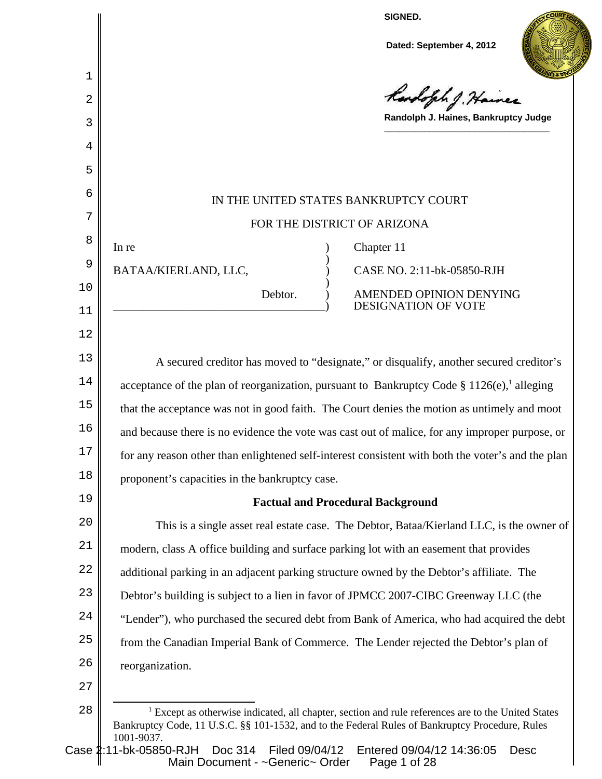**SIGNED.**

**Dated: September 4, 2012**



Rendsfile J. Ha

**Randolph J. Haines, Bankruptcy Judge \_\_\_\_\_\_\_\_\_\_\_\_\_\_\_\_\_\_\_\_\_\_\_\_\_\_\_\_\_\_\_\_\_**

# IN THE UNITED STATES BANKRUPTCY COURT FOR THE DISTRICT OF ARIZONA

)

)

In re a contract of the contract of the contract of the contract of the contract of the contract of the contract of the contract of the contract of the contract of the contract of the contract of the contract of the contra

BATAA/KIERLAND, LLC, CASE NO. 2:11-bk-05850-RJH

Debtor. ) AMENDED OPINION DENYING \_\_\_\_\_\_\_\_\_\_\_\_\_\_\_\_\_\_\_\_\_\_\_\_\_\_\_\_\_\_\_\_\_\_\_\_) DESIGNATION OF VOTE

13 14 15 16 17 18 A secured creditor has moved to "designate," or disqualify, another secured creditor's acceptance of the plan of reorganization, pursuant to Bankruptcy Code § 1126(e), alleging that the acceptance was not in good faith. The Court denies the motion as untimely and moot and because there is no evidence the vote was cast out of malice, for any improper purpose, or for any reason other than enlightened self-interest consistent with both the voter's and the plan proponent's capacities in the bankruptcy case.

# **Factual and Procedural Background**

 $2.0$ 21 22 23 24 25 26 This is a single asset real estate case. The Debtor, Bataa/Kierland LLC, is the owner of modern, class A office building and surface parking lot with an easement that provides additional parking in an adjacent parking structure owned by the Debtor's affiliate. The Debtor's building is subject to a lien in favor of JPMCC 2007-CIBC Greenway LLC (the "Lender"), who purchased the secured debt from Bank of America, who had acquired the debt from the Canadian Imperial Bank of Commerce. The Lender rejected the Debtor's plan of reorganization.

27

1

 $\mathfrak{D}$ 

3

4

5

6

7

8

9

10

11

12

19

Case 2:11-bk-05850-RJH Doc 314 Filed 09/04/12 Entered 09/04/12 14:36:05 Desc Main Document - ~Generic~ Order Page 1 of 28

<sup>28</sup> <sup>1</sup> Except as otherwise indicated, all chapter, section and rule references are to the United States Bankruptcy Code, 11 U.S.C. §§ 101-1532, and to the Federal Rules of Bankruptcy Procedure, Rules 1001-9037.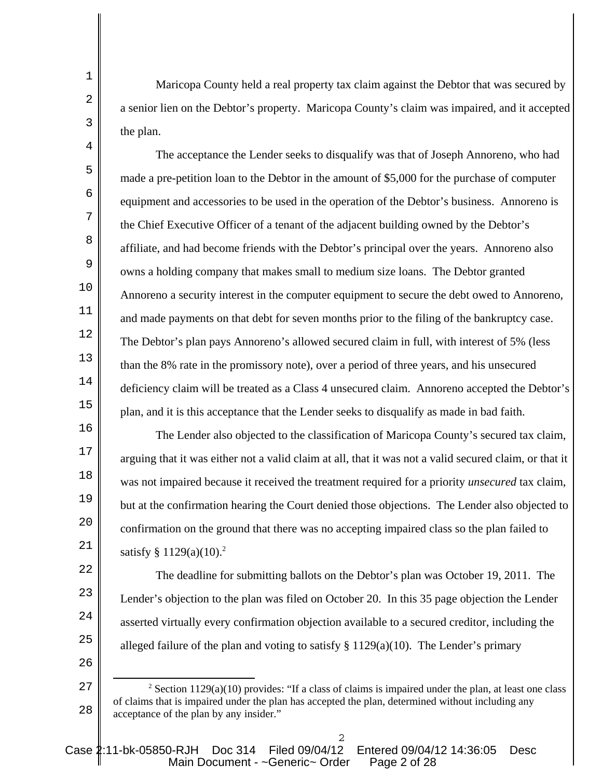Maricopa County held a real property tax claim against the Debtor that was secured by a senior lien on the Debtor's property. Maricopa County's claim was impaired, and it accepted the plan.

1

2

3

4

5

6

7

8

9

10

11

12

13

14

15

16

17

18

19

 $2.0$ 

21

22

23

24

25

26

The acceptance the Lender seeks to disqualify was that of Joseph Annoreno, who had made a pre-petition loan to the Debtor in the amount of \$5,000 for the purchase of computer equipment and accessories to be used in the operation of the Debtor's business. Annoreno is the Chief Executive Officer of a tenant of the adjacent building owned by the Debtor's affiliate, and had become friends with the Debtor's principal over the years. Annoreno also owns a holding company that makes small to medium size loans. The Debtor granted Annoreno a security interest in the computer equipment to secure the debt owed to Annoreno, and made payments on that debt for seven months prior to the filing of the bankruptcy case. The Debtor's plan pays Annoreno's allowed secured claim in full, with interest of 5% (less than the 8% rate in the promissory note), over a period of three years, and his unsecured deficiency claim will be treated as a Class 4 unsecured claim. Annoreno accepted the Debtor's plan, and it is this acceptance that the Lender seeks to disqualify as made in bad faith.

The Lender also objected to the classification of Maricopa County's secured tax claim, arguing that it was either not a valid claim at all, that it was not a valid secured claim, or that it was not impaired because it received the treatment required for a priority *unsecured* tax claim, but at the confirmation hearing the Court denied those objections. The Lender also objected to confirmation on the ground that there was no accepting impaired class so the plan failed to satisfy  $§ 1129(a)(10).^2$ 

The deadline for submitting ballots on the Debtor's plan was October 19, 2011. The Lender's objection to the plan was filed on October 20. In this 35 page objection the Lender asserted virtually every confirmation objection available to a secured creditor, including the alleged failure of the plan and voting to satisfy  $\S 1129(a)(10)$ . The Lender's primary

<sup>27</sup> 28 <sup>2</sup> Section 1129(a)(10) provides: "If a class of claims is impaired under the plan, at least one class of claims that is impaired under the plan has accepted the plan, determined without including any acceptance of the plan by any insider."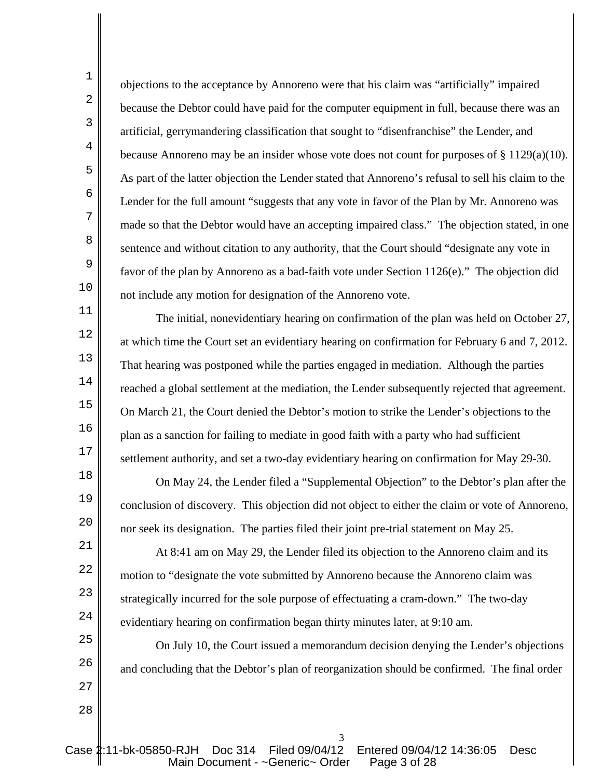objections to the acceptance by Annoreno were that his claim was "artificially" impaired because the Debtor could have paid for the computer equipment in full, because there was an artificial, gerrymandering classification that sought to "disenfranchise" the Lender, and because Annoreno may be an insider whose vote does not count for purposes of  $\S 1129(a)(10)$ . As part of the latter objection the Lender stated that Annoreno's refusal to sell his claim to the Lender for the full amount "suggests that any vote in favor of the Plan by Mr. Annoreno was made so that the Debtor would have an accepting impaired class." The objection stated, in one sentence and without citation to any authority, that the Court should "designate any vote in favor of the plan by Annoreno as a bad-faith vote under Section 1126(e)." The objection did not include any motion for designation of the Annoreno vote.

The initial, nonevidentiary hearing on confirmation of the plan was held on October 27, at which time the Court set an evidentiary hearing on confirmation for February 6 and 7, 2012. That hearing was postponed while the parties engaged in mediation. Although the parties reached a global settlement at the mediation, the Lender subsequently rejected that agreement. On March 21, the Court denied the Debtor's motion to strike the Lender's objections to the plan as a sanction for failing to mediate in good faith with a party who had sufficient settlement authority, and set a two-day evidentiary hearing on confirmation for May 29-30.

On May 24, the Lender filed a "Supplemental Objection" to the Debtor's plan after the conclusion of discovery. This objection did not object to either the claim or vote of Annoreno, nor seek its designation. The parties filed their joint pre-trial statement on May 25.

At 8:41 am on May 29, the Lender filed its objection to the Annoreno claim and its motion to "designate the vote submitted by Annoreno because the Annoreno claim was strategically incurred for the sole purpose of effectuating a cram-down." The two-day evidentiary hearing on confirmation began thirty minutes later, at 9:10 am.

On July 10, the Court issued a memorandum decision denying the Lender's objections and concluding that the Debtor's plan of reorganization should be confirmed. The final order

27 28

1

2

3

4

5

6

7

8

9

10

11

12

13

14

15

16

17

18

19

 $2.0$ 

21

22

23

24

25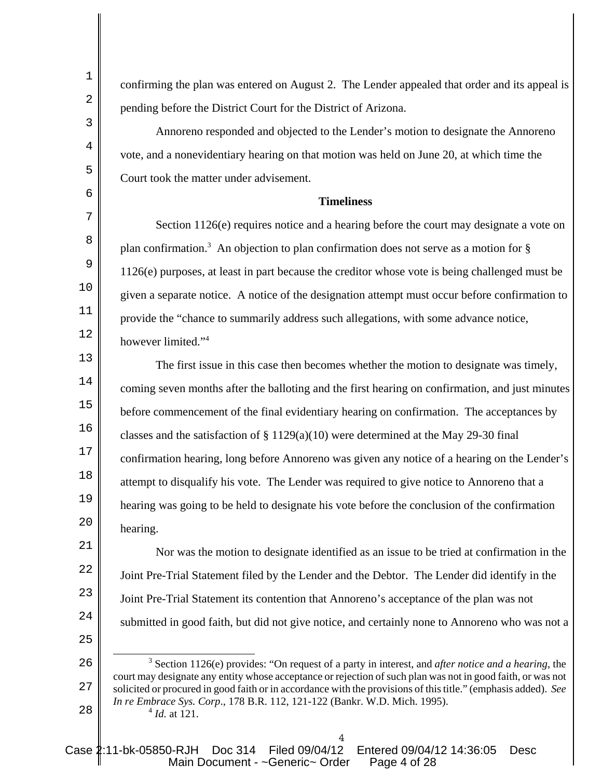confirming the plan was entered on August 2. The Lender appealed that order and its appeal is pending before the District Court for the District of Arizona.

1

2

3

4

5

6

7

8

9

10

11

12

13

14

15

16

17

18

19

 $2.0$ 

25

Annoreno responded and objected to the Lender's motion to designate the Annoreno vote, and a nonevidentiary hearing on that motion was held on June 20, at which time the Court took the matter under advisement.

## **Timeliness**

Section 1126(e) requires notice and a hearing before the court may designate a vote on plan confirmation.<sup>3</sup> An objection to plan confirmation does not serve as a motion for § 1126(e) purposes, at least in part because the creditor whose vote is being challenged must be given a separate notice. A notice of the designation attempt must occur before confirmation to provide the "chance to summarily address such allegations, with some advance notice, however limited."<sup>4</sup>

The first issue in this case then becomes whether the motion to designate was timely, coming seven months after the balloting and the first hearing on confirmation, and just minutes before commencement of the final evidentiary hearing on confirmation. The acceptances by classes and the satisfaction of § 1129(a)(10) were determined at the May 29-30 final confirmation hearing, long before Annoreno was given any notice of a hearing on the Lender's attempt to disqualify his vote. The Lender was required to give notice to Annoreno that a hearing was going to be held to designate his vote before the conclusion of the confirmation hearing.

21 22 23 24 Nor was the motion to designate identified as an issue to be tried at confirmation in the Joint Pre-Trial Statement filed by the Lender and the Debtor. The Lender did identify in the Joint Pre-Trial Statement its contention that Annoreno's acceptance of the plan was not submitted in good faith, but did not give notice, and certainly none to Annoreno who was not a

<sup>26</sup> 27 28 3 Section 1126(e) provides: "On request of a party in interest, and *after notice and a hearing*, the court may designate any entity whose acceptance or rejection of such plan was not in good faith, or was not solicited or procured in good faith or in accordance with the provisions of this title." (emphasis added). *See In re Embrace Sys. Corp*., 178 B.R. 112, 121-122 (Bankr. W.D. Mich. 1995). <sup>4</sup> *Id.* at 121.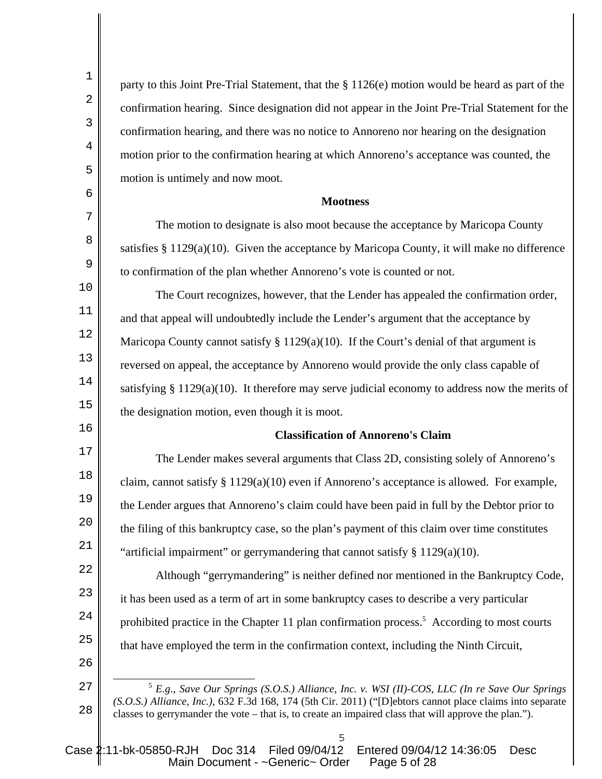| $\mathbf 1$    | party to this Joint Pre-Trial Statement, that the § 1126(e) motion would be heard as part of the                                                                                                                                                                                                                      |
|----------------|-----------------------------------------------------------------------------------------------------------------------------------------------------------------------------------------------------------------------------------------------------------------------------------------------------------------------|
| $\overline{a}$ | confirmation hearing. Since designation did not appear in the Joint Pre-Trial Statement for the                                                                                                                                                                                                                       |
| 3              | confirmation hearing, and there was no notice to Annoreno nor hearing on the designation                                                                                                                                                                                                                              |
| $\overline{4}$ | motion prior to the confirmation hearing at which Annoreno's acceptance was counted, the                                                                                                                                                                                                                              |
| 5              | motion is untimely and now moot.                                                                                                                                                                                                                                                                                      |
| 6              | <b>Mootness</b>                                                                                                                                                                                                                                                                                                       |
| 7              | The motion to designate is also moot because the acceptance by Maricopa County                                                                                                                                                                                                                                        |
| 8              | satisfies $\S 1129(a)(10)$ . Given the acceptance by Maricopa County, it will make no difference                                                                                                                                                                                                                      |
| 9              | to confirmation of the plan whether Annoreno's vote is counted or not.                                                                                                                                                                                                                                                |
| $10$           | The Court recognizes, however, that the Lender has appealed the confirmation order,                                                                                                                                                                                                                                   |
| $11\,$         | and that appeal will undoubtedly include the Lender's argument that the acceptance by                                                                                                                                                                                                                                 |
| $12\,$         | Maricopa County cannot satisfy $\S 1129(a)(10)$ . If the Court's denial of that argument is                                                                                                                                                                                                                           |
| 13             | reversed on appeal, the acceptance by Annoreno would provide the only class capable of                                                                                                                                                                                                                                |
| 14             | satisfying § 1129(a)(10). It therefore may serve judicial economy to address now the merits of                                                                                                                                                                                                                        |
| 15             | the designation motion, even though it is moot.                                                                                                                                                                                                                                                                       |
| 16             | <b>Classification of Annoreno's Claim</b>                                                                                                                                                                                                                                                                             |
| 17             | The Lender makes several arguments that Class 2D, consisting solely of Annoreno's                                                                                                                                                                                                                                     |
| 18             | claim, cannot satisfy § 1129(a)(10) even if Annoreno's acceptance is allowed. For example,                                                                                                                                                                                                                            |
| 19             | the Lender argues that Annoreno's claim could have been paid in full by the Debtor prior to                                                                                                                                                                                                                           |
| 20             | the filing of this bankruptcy case, so the plan's payment of this claim over time constitutes                                                                                                                                                                                                                         |
| 21             | "artificial impairment" or gerrymandering that cannot satisfy $\S 1129(a)(10)$ .                                                                                                                                                                                                                                      |
| 22             | Although "gerrymandering" is neither defined nor mentioned in the Bankruptcy Code,                                                                                                                                                                                                                                    |
| 23             | it has been used as a term of art in some bankruptcy cases to describe a very particular                                                                                                                                                                                                                              |
| 24             | prohibited practice in the Chapter 11 plan confirmation process. <sup>5</sup> According to most courts                                                                                                                                                                                                                |
| 25             | that have employed the term in the confirmation context, including the Ninth Circuit,                                                                                                                                                                                                                                 |
| 26             |                                                                                                                                                                                                                                                                                                                       |
| 27<br>28       | $5$ E.g., Save Our Springs (S.O.S.) Alliance, Inc. v. WSI (II)-COS, LLC (In re Save Our Springs<br>(S.O.S.) Alliance, Inc.), 632 F.3d 168, 174 (5th Cir. 2011) ("[D]ebtors cannot place claims into separate<br>classes to gerrymander the vote – that is, to create an impaired class that will approve the plan."). |
|                |                                                                                                                                                                                                                                                                                                                       |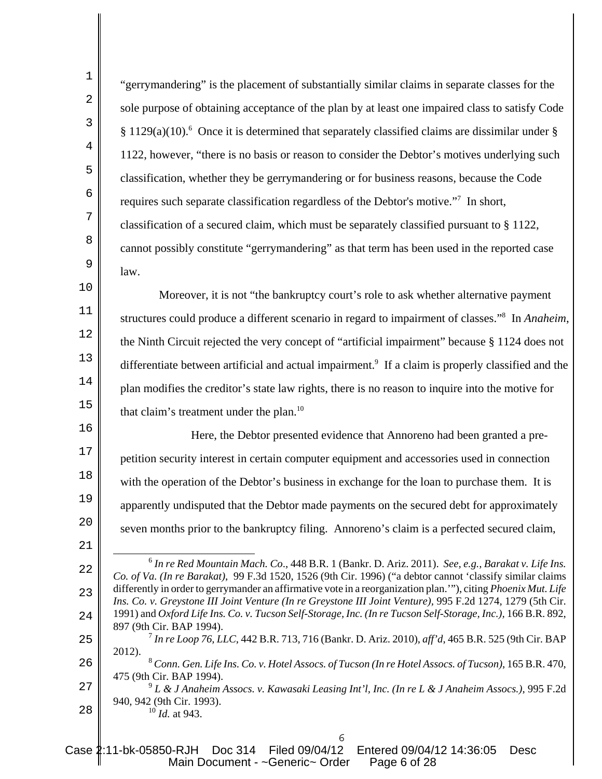| $\mathbf 1$    | "gerrymandering" is the placement of substantially similar claims in separate classes for the                                                                                                                                       |
|----------------|-------------------------------------------------------------------------------------------------------------------------------------------------------------------------------------------------------------------------------------|
| $\overline{2}$ | sole purpose of obtaining acceptance of the plan by at least one impaired class to satisfy Code                                                                                                                                     |
| $\mathbf{3}$   | $§$ 1129(a)(10). <sup>6</sup> Once it is determined that separately classified claims are dissimilar under $§$                                                                                                                      |
| $\overline{4}$ | 1122, however, "there is no basis or reason to consider the Debtor's motives underlying such                                                                                                                                        |
| 5              | classification, whether they be gerrymandering or for business reasons, because the Code                                                                                                                                            |
| $\epsilon$     | requires such separate classification regardless of the Debtor's motive." <sup>7</sup> In short,                                                                                                                                    |
| 7              | classification of a secured claim, which must be separately classified pursuant to § 1122,                                                                                                                                          |
| 8              | cannot possibly constitute "gerrymandering" as that term has been used in the reported case                                                                                                                                         |
| $\mathsf 9$    | law.                                                                                                                                                                                                                                |
| $10\,$         | Moreover, it is not "the bankruptcy court's role to ask whether alternative payment                                                                                                                                                 |
| 11             | structures could produce a different scenario in regard to impairment of classes." <sup>8</sup> In Anaheim,                                                                                                                         |
| 12             | the Ninth Circuit rejected the very concept of "artificial impairment" because § 1124 does not                                                                                                                                      |
| 13             | differentiate between artificial and actual impairment. <sup>9</sup> If a claim is properly classified and the                                                                                                                      |
| 14             | plan modifies the creditor's state law rights, there is no reason to inquire into the motive for                                                                                                                                    |
| 15             | that claim's treatment under the plan. <sup>10</sup>                                                                                                                                                                                |
| 16             | Here, the Debtor presented evidence that Annoreno had been granted a pre-                                                                                                                                                           |
| 17             | petition security interest in certain computer equipment and accessories used in connection                                                                                                                                         |
| 18             | with the operation of the Debtor's business in exchange for the loan to purchase them. It is                                                                                                                                        |
| 19             | apparently undisputed that the Debtor made payments on the secured debt for approximately                                                                                                                                           |
| 20             | seven months prior to the bankruptcy filing. Annoreno's claim is a perfected secured claim,                                                                                                                                         |
| 21             |                                                                                                                                                                                                                                     |
| 22             | $^6$ In re Red Mountain Mach. Co., 448 B.R. 1 (Bankr. D. Ariz. 2011). See, e.g., Barakat v. Life Ins.<br>Co. of Va. (In re Barakat), 99 F.3d 1520, 1526 (9th Cir. 1996) ("a debtor cannot 'classify similar claims                  |
| 23             | differently in order to gerrymander an affirmative vote in a reorganization plan.""), citing <i>Phoenix Mut. Life</i><br>Ins. Co. v. Greystone III Joint Venture (In re Greystone III Joint Venture), 995 F.2d 1274, 1279 (5th Cir. |
| 24             | 1991) and Oxford Life Ins. Co. v. Tucson Self-Storage, Inc. (In re Tucson Self-Storage, Inc.), 166 B.R. 892,<br>897 (9th Cir. BAP 1994).                                                                                            |
| 25             | <sup>7</sup> In re Loop 76, LLC, 442 B.R. 713, 716 (Bankr. D. Ariz. 2010), aff'd, 465 B.R. 525 (9th Cir. BAP<br>2012).                                                                                                              |
| 26             | <sup>8</sup> Conn. Gen. Life Ins. Co. v. Hotel Assocs. of Tucson (In re Hotel Assocs. of Tucson), 165 B.R. 470,<br>475 (9th Cir. BAP 1994).                                                                                         |
| 27             | $9$ L & J Anaheim Assocs. v. Kawasaki Leasing Int'l, Inc. (In re L & J Anaheim Assocs.), 995 F.2d                                                                                                                                   |
| 28             | 940, 942 (9th Cir. 1993).<br>$10$ <i>Id.</i> at 943.                                                                                                                                                                                |
|                |                                                                                                                                                                                                                                     |

Case 2:11-bk-05850-RJH Doc 314 Filed 09/04/12 Entered 09/04/12 14:36:05 Desc Main Document - ~Generic~ Order Page 6 of 28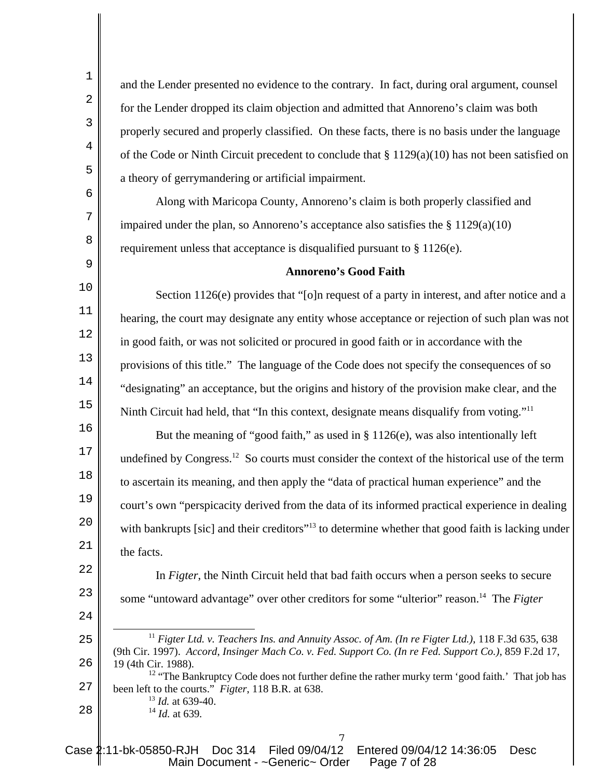and the Lender presented no evidence to the contrary. In fact, during oral argument, counsel for the Lender dropped its claim objection and admitted that Annoreno's claim was both properly secured and properly classified. On these facts, there is no basis under the language of the Code or Ninth Circuit precedent to conclude that  $\S 1129(a)(10)$  has not been satisfied on a theory of gerrymandering or artificial impairment.

Along with Maricopa County, Annoreno's claim is both properly classified and impaired under the plan, so Annoreno's acceptance also satisfies the  $\S 1129(a)(10)$ requirement unless that acceptance is disqualified pursuant to § 1126(e).

#### **Annoreno's Good Faith**

Section 1126(e) provides that "[o]n request of a party in interest, and after notice and a hearing, the court may designate any entity whose acceptance or rejection of such plan was not in good faith, or was not solicited or procured in good faith or in accordance with the provisions of this title." The language of the Code does not specify the consequences of so "designating" an acceptance, but the origins and history of the provision make clear, and the Ninth Circuit had held, that "In this context, designate means disqualify from voting."<sup>11</sup>

But the meaning of "good faith," as used in  $\S 1126(e)$ , was also intentionally left undefined by Congress.<sup>12</sup> So courts must consider the context of the historical use of the term to ascertain its meaning, and then apply the "data of practical human experience" and the court's own "perspicacity derived from the data of its informed practical experience in dealing with bankrupts [sic] and their creditors"<sup>13</sup> to determine whether that good faith is lacking under the facts.

In *Figter*, the Ninth Circuit held that bad faith occurs when a person seeks to secure some "untoward advantage" over other creditors for some "ulterior" reason.14 The *Figter*

24 25

26

28

1

2

3

4

5

6

7

8

9

10

11

12

13

14

15

16

17

18

19

 $2.0$ 

21

22

23

<sup>14</sup> *Id.* at 639*.*

Case 2:11-bk-05850-RJH Doc 314 Filed 09/04/12 Entered 09/04/12 14:36:05 Desc Main Document - ~Generic~ Order Page 7 of 28

<sup>11</sup> *Figter Ltd. v. Teachers Ins. and Annuity Assoc. of Am. (In re Figter Ltd.)*, 118 F.3d 635, 638 (9th Cir. 1997). *Accord*, *Insinger Mach Co. v. Fed. Support Co. (In re Fed. Support Co.)*, 859 F.2d 17, 19 (4th Cir. 1988).

<sup>27</sup> <sup>12</sup> "The Bankruptcy Code does not further define the rather murky term 'good faith.' That job has been left to the courts." *Figter*, 118 B.R. at 638.

<sup>13</sup> *Id.* at 639-40.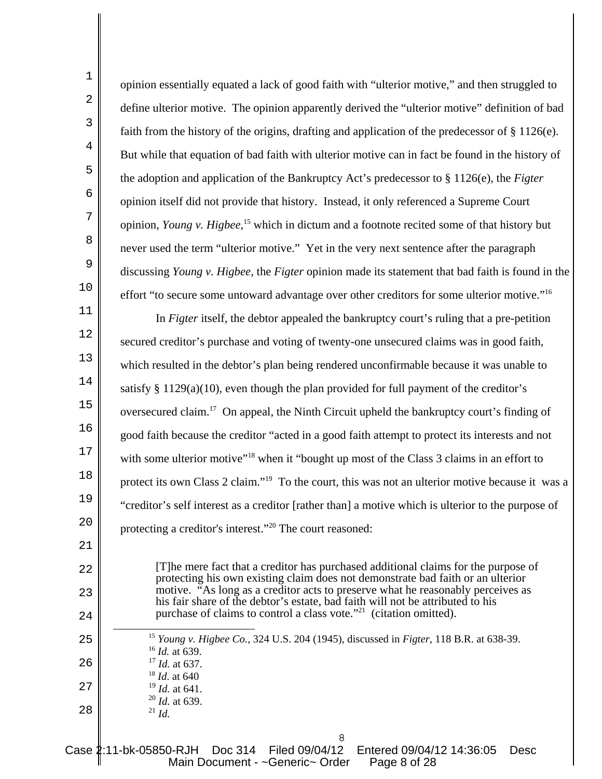| $1\,$          | opinion essentially equated a lack of good faith with "ulterior motive," and then struggled to                                                                     |
|----------------|--------------------------------------------------------------------------------------------------------------------------------------------------------------------|
| $\overline{a}$ | define ulterior motive. The opinion apparently derived the "ulterior motive" definition of bad                                                                     |
| $\overline{3}$ | faith from the history of the origins, drafting and application of the predecessor of $\S 1126(e)$ .                                                               |
| $\overline{4}$ | But while that equation of bad faith with ulterior motive can in fact be found in the history of                                                                   |
| 5              | the adoption and application of the Bankruptcy Act's predecessor to $\S 1126(e)$ , the Figter                                                                      |
| $\epsilon$     | opinion itself did not provide that history. Instead, it only referenced a Supreme Court                                                                           |
| 7              | opinion, Young v. Highee, <sup>15</sup> which in dictum and a footnote recited some of that history but                                                            |
| $\,8\,$        | never used the term "ulterior motive." Yet in the very next sentence after the paragraph                                                                           |
| $\mathsf 9$    | discussing Young v. Higbee, the Figter opinion made its statement that bad faith is found in the                                                                   |
| $10$           | effort "to secure some untoward advantage over other creditors for some ulterior motive." <sup>16</sup>                                                            |
| $11\,$         | In Figter itself, the debtor appealed the bankruptcy court's ruling that a pre-petition                                                                            |
| 12             | secured creditor's purchase and voting of twenty-one unsecured claims was in good faith,                                                                           |
| 13             | which resulted in the debtor's plan being rendered unconfirmable because it was unable to                                                                          |
| $14\,$         | satisfy $\S 1129(a)(10)$ , even though the plan provided for full payment of the creditor's                                                                        |
| 15             | oversecured claim. <sup>17</sup> On appeal, the Ninth Circuit upheld the bankruptcy court's finding of                                                             |
| 16             | good faith because the creditor "acted in a good faith attempt to protect its interests and not                                                                    |
| 17             | with some ulterior motive" <sup>18</sup> when it "bought up most of the Class 3 claims in an effort to                                                             |
| 18             | protect its own Class 2 claim." <sup>19</sup> To the court, this was not an ulterior motive because it was a                                                       |
| 19             | "creditor's self interest as a creditor [rather than] a motive which is ulterior to the purpose of                                                                 |
| 20             | protecting a creditor's interest." <sup>20</sup> The court reasoned:                                                                                               |
| 21             |                                                                                                                                                                    |
| 22             | [T] he mere fact that a creditor has purchased additional claims for the purpose of                                                                                |
| 23             | protecting his own existing claim does not demonstrate bad faith or an ulterior<br>motive. "As long as a creditor acts to preserve what he reasonably perceives as |
| 24             | his fair share of the debtor's estate, bad faith will not be attributed to his<br>purchase of claims to control a class vote." <sup>21</sup> (citation omitted).   |
| 25             | <sup>15</sup> Young v. Higbee Co., 324 U.S. 204 (1945), discussed in Figter, 118 B.R. at 638-39.                                                                   |
| 26             | $16$ <i>Id.</i> at 639.<br>$17$ <i>Id.</i> at 637.                                                                                                                 |
| 27             | $18$ <i>Id.</i> at 640<br>$19$ <i>Id.</i> at 641.                                                                                                                  |
| 28             | $^{20}$ <i>Id.</i> at 639.<br>$^{21}$ <i>Id.</i>                                                                                                                   |
|                | 8                                                                                                                                                                  |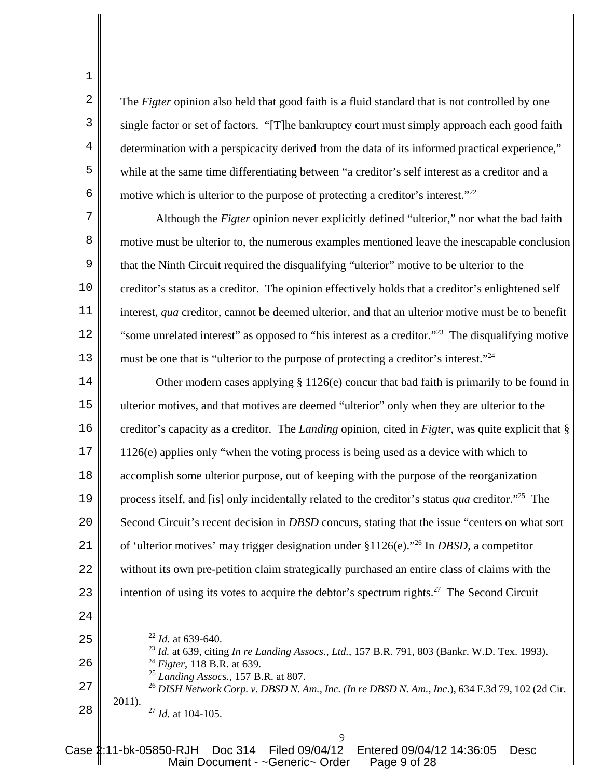The *Figter* opinion also held that good faith is a fluid standard that is not controlled by one single factor or set of factors. "[T]he bankruptcy court must simply approach each good faith determination with a perspicacity derived from the data of its informed practical experience," while at the same time differentiating between "a creditor's self interest as a creditor and a motive which is ulterior to the purpose of protecting a creditor's interest."<sup>22</sup>

Although the *Figter* opinion never explicitly defined "ulterior," nor what the bad faith motive must be ulterior to, the numerous examples mentioned leave the inescapable conclusion that the Ninth Circuit required the disqualifying "ulterior" motive to be ulterior to the creditor's status as a creditor. The opinion effectively holds that a creditor's enlightened self interest, *qua* creditor, cannot be deemed ulterior, and that an ulterior motive must be to benefit "some unrelated interest" as opposed to "his interest as a creditor."<sup>23</sup> The disqualifying motive must be one that is "ulterior to the purpose of protecting a creditor's interest."<sup>24</sup>

14 15 16 17 18 19  $2.0$ 21 22 23 Other modern cases applying § 1126(e) concur that bad faith is primarily to be found in ulterior motives, and that motives are deemed "ulterior" only when they are ulterior to the creditor's capacity as a creditor. The *Landing* opinion, cited in *Figter*, was quite explicit that § 1126(e) applies only "when the voting process is being used as a device with which to accomplish some ulterior purpose, out of keeping with the purpose of the reorganization process itself, and [is] only incidentally related to the creditor's status *qua* creditor."25 The Second Circuit's recent decision in *DBSD* concurs, stating that the issue "centers on what sort of 'ulterior motives' may trigger designation under §1126(e)."26 In *DBSD*, a competitor without its own pre-petition claim strategically purchased an entire class of claims with the intention of using its votes to acquire the debtor's spectrum rights.<sup>27</sup> The Second Circuit

24

28

1

2

3

4

5

6

7

8

9

10

11

12

13

- 25 26 27 <sup>22</sup> *Id.* at 639-640. <sup>23</sup> *Id.* at 639, citing *In re Landing Assocs., Ltd.*, 157 B.R. 791, 803 (Bankr. W.D. Tex. 1993). 24 *Figter*, 118 B.R. at 639. <sup>25</sup> *Landing Assocs.*, 157 B.R. at 807. <sup>26</sup> *DISH Network Corp. v. DBSD N. Am., Inc. (In re DBSD N. Am., Inc*.), 634 F.3d 79, 102 (2d Cir.
	- 2011). <sup>27</sup> *Id.* at 104-105.

9

Case 2:11-bk-05850-RJH Doc 314 Filed 09/04/12 Entered 09/04/12 14:36:05 Desc Main Document - ~Generic~ Order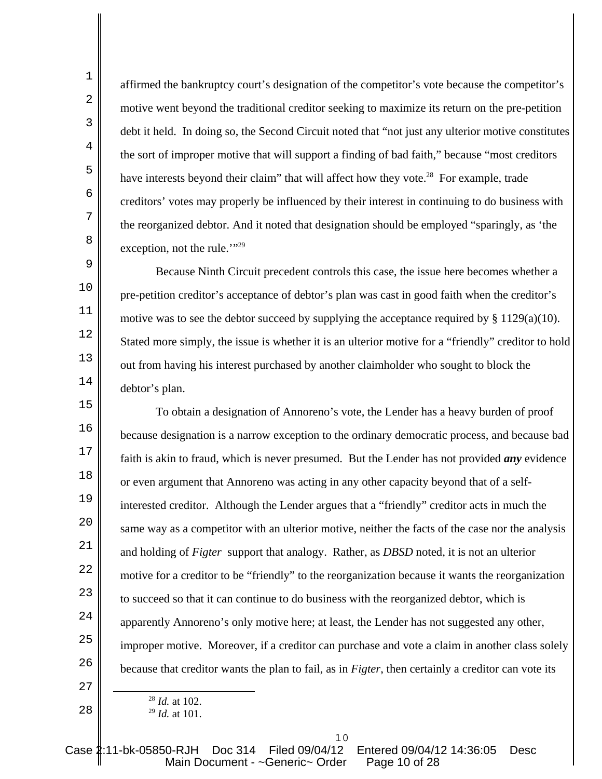affirmed the bankruptcy court's designation of the competitor's vote because the competitor's motive went beyond the traditional creditor seeking to maximize its return on the pre-petition debt it held. In doing so, the Second Circuit noted that "not just any ulterior motive constitutes the sort of improper motive that will support a finding of bad faith," because "most creditors have interests beyond their claim" that will affect how they vote.<sup>28</sup> For example, trade creditors' votes may properly be influenced by their interest in continuing to do business with the reorganized debtor. And it noted that designation should be employed "sparingly, as 'the exception, not the rule."<sup>29</sup>

Because Ninth Circuit precedent controls this case, the issue here becomes whether a pre-petition creditor's acceptance of debtor's plan was cast in good faith when the creditor's motive was to see the debtor succeed by supplying the acceptance required by  $\S 1129(a)(10)$ . Stated more simply, the issue is whether it is an ulterior motive for a "friendly" creditor to hold out from having his interest purchased by another claimholder who sought to block the debtor's plan.

15 16 17 18 19  $2.0$ 21 22 23 24 25 26 To obtain a designation of Annoreno's vote, the Lender has a heavy burden of proof because designation is a narrow exception to the ordinary democratic process, and because bad faith is akin to fraud, which is never presumed. But the Lender has not provided *any* evidence or even argument that Annoreno was acting in any other capacity beyond that of a selfinterested creditor. Although the Lender argues that a "friendly" creditor acts in much the same way as a competitor with an ulterior motive, neither the facts of the case nor the analysis and holding of *Figter* support that analogy. Rather, as *DBSD* noted, it is not an ulterior motive for a creditor to be "friendly" to the reorganization because it wants the reorganization to succeed so that it can continue to do business with the reorganized debtor, which is apparently Annoreno's only motive here; at least, the Lender has not suggested any other, improper motive. Moreover, if a creditor can purchase and vote a claim in another class solely because that creditor wants the plan to fail, as in *Figter*, then certainly a creditor can vote its

<sup>28</sup> *Id.* at 102.

1

2

3

4

5

6

7

8

9

10

11

12

13

14

27

<sup>29</sup> *Id.* at 101.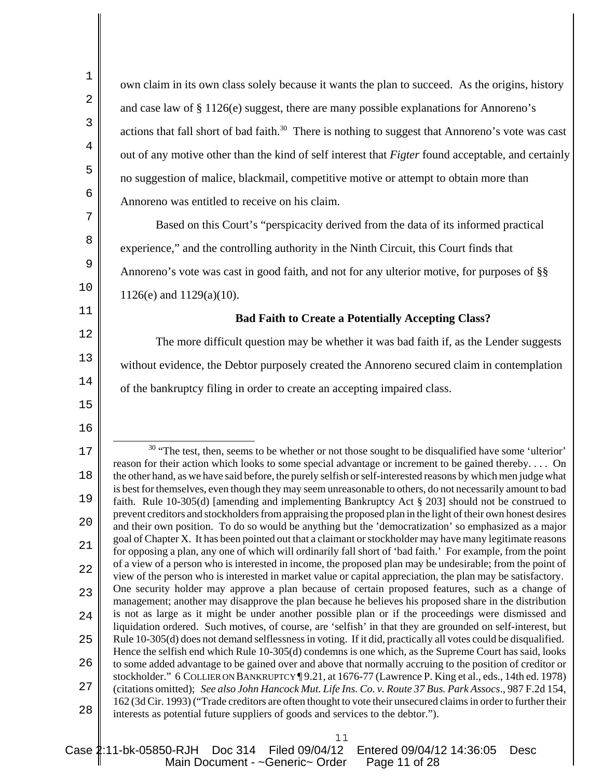1 2 3 4 5 6 7 8 9 10 11 12 13 14 15 16 17 18 19  $20^{\circ}$ 21 22 23 24 25 26 27 28 own claim in its own class solely because it wants the plan to succeed. As the origins, history and case law of § 1126(e) suggest, there are many possible explanations for Annoreno's actions that fall short of bad faith.<sup>30</sup> There is nothing to suggest that Annoreno's vote was cast out of any motive other than the kind of self interest that *Figter* found acceptable, and certainly no suggestion of malice, blackmail, competitive motive or attempt to obtain more than Annoreno was entitled to receive on his claim. Based on this Court's "perspicacity derived from the data of its informed practical experience," and the controlling authority in the Ninth Circuit, this Court finds that Annoreno's vote was cast in good faith, and not for any ulterior motive, for purposes of §§ 1126(e) and 1129(a)(10). **Bad Faith to Create a Potentially Accepting Class?** The more difficult question may be whether it was bad faith if, as the Lender suggests without evidence, the Debtor purposely created the Annoreno secured claim in contemplation of the bankruptcy filing in order to create an accepting impaired class. <sup>30</sup> "The test, then, seems to be whether or not those sought to be disqualified have some 'ulterior' reason for their action which looks to some special advantage or increment to be gained thereby. . . . On the other hand, as we have said before, the purely selfish or self-interested reasons by which men judge what is best for themselves, even though they may seem unreasonable to others, do not necessarily amount to bad faith. Rule 10-305(d) [amending and implementing Bankruptcy Act § 203] should not be construed to prevent creditors and stockholders from appraising the proposed plan in the light of their own honest desires and their own position. To do so would be anything but the 'democratization' so emphasized as a major goal of Chapter X. It has been pointed out that a claimant or stockholder may have many legitimate reasons for opposing a plan, any one of which will ordinarily fall short of 'bad faith.' For example, from the point of a view of a person who is interested in income, the proposed plan may be undesirable; from the point of view of the person who is interested in market value or capital appreciation, the plan may be satisfactory. One security holder may approve a plan because of certain proposed features, such as a change of management; another may disapprove the plan because he believes his proposed share in the distribution is not as large as it might be under another possible plan or if the proceedings were dismissed and liquidation ordered. Such motives, of course, are 'selfish' in that they are grounded on self-interest, but Rule 10-305(d) does not demand selflessness in voting. If it did, practically all votes could be disqualified. Hence the selfish end which Rule 10-305(d) condemns is one which, as the Supreme Court has said, looks to some added advantage to be gained over and above that normally accruing to the position of creditor or stockholder." 6 COLLIER ON BANKRUPTCY ¶ 9.21, at 1676-77 (Lawrence P. King et al., eds., 14th ed. 1978) (citations omitted); *See also John Hancock Mut. Life Ins. Co. v. Route 37 Bus. Park Assocs*., 987 F.2d 154, 162 (3d Cir. 1993) ("Trade creditors are often thought to vote their unsecured claims in order to further their interests as potential future suppliers of goods and services to the debtor.").

## 11

Case 2:11-bk-05850-RJH Doc 314 Filed 09/04/12 Entered 09/04/12 14:36:05 Desc Main Document - ~Generic~ Order Page 11 of 28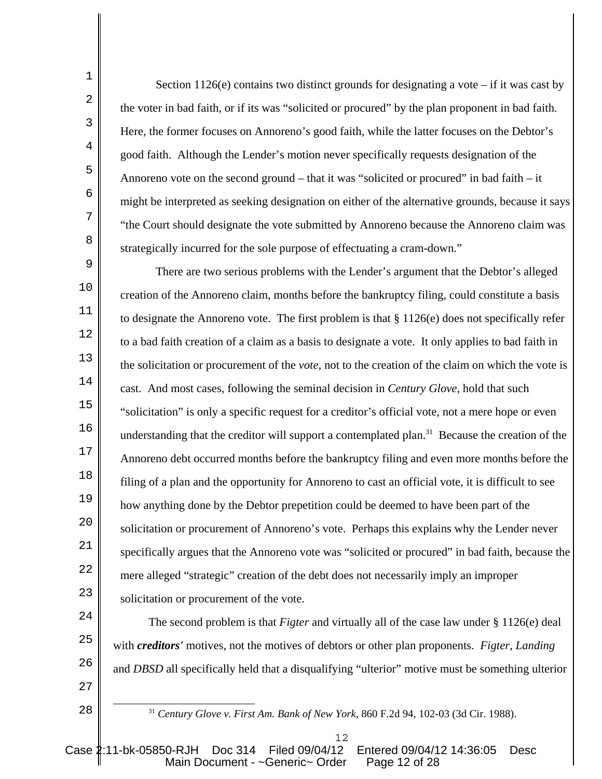Section  $1126(e)$  contains two distinct grounds for designating a vote – if it was cast by the voter in bad faith, or if its was "solicited or procured" by the plan proponent in bad faith. Here, the former focuses on Annoreno's good faith, while the latter focuses on the Debtor's good faith. Although the Lender's motion never specifically requests designation of the Annoreno vote on the second ground – that it was "solicited or procured" in bad faith – it might be interpreted as seeking designation on either of the alternative grounds, because it says "the Court should designate the vote submitted by Annoreno because the Annoreno claim was strategically incurred for the sole purpose of effectuating a cram-down."

1

2

3

4

5

6

7

8

28

9 10 11 12 13 14 15 16 17 18 19  $20^{\circ}$ 21 22 23 There are two serious problems with the Lender's argument that the Debtor's alleged creation of the Annoreno claim, months before the bankruptcy filing, could constitute a basis to designate the Annoreno vote. The first problem is that § 1126(e) does not specifically refer to a bad faith creation of a claim as a basis to designate a vote. It only applies to bad faith in the solicitation or procurement of the *vote*, not to the creation of the claim on which the vote is cast. And most cases, following the seminal decision in *Century Glove*, hold that such "solicitation" is only a specific request for a creditor's official vote, not a mere hope or even understanding that the creditor will support a contemplated plan.<sup>31</sup> Because the creation of the Annoreno debt occurred months before the bankruptcy filing and even more months before the filing of a plan and the opportunity for Annoreno to cast an official vote, it is difficult to see how anything done by the Debtor prepetition could be deemed to have been part of the solicitation or procurement of Annoreno's vote. Perhaps this explains why the Lender never specifically argues that the Annoreno vote was "solicited or procured" in bad faith, because the mere alleged "strategic" creation of the debt does not necessarily imply an improper solicitation or procurement of the vote.

24 25 26 27 The second problem is that *Figter* and virtually all of the case law under § 1126(e) deal with *creditors'* motives, not the motives of debtors or other plan proponents. *Figter*, *Landing* and *DBSD* all specifically held that a disqualifying "ulterior" motive must be something ulterior

<sup>31</sup> *Century Glove v. First Am. Bank of New York*, 860 F.2d 94, 102-03 (3d Cir. 1988).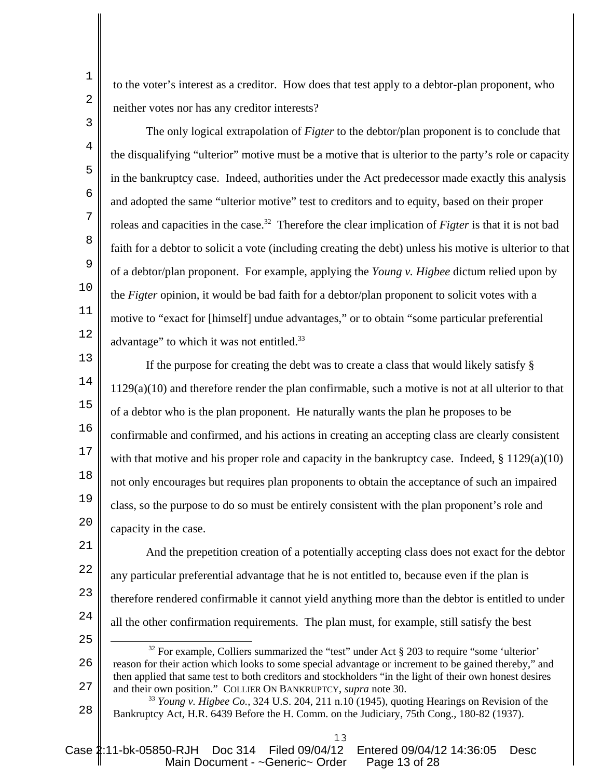to the voter's interest as a creditor. How does that test apply to a debtor-plan proponent, who neither votes nor has any creditor interests?

The only logical extrapolation of *Figter* to the debtor/plan proponent is to conclude that the disqualifying "ulterior" motive must be a motive that is ulterior to the party's role or capacity in the bankruptcy case. Indeed, authorities under the Act predecessor made exactly this analysis and adopted the same "ulterior motive" test to creditors and to equity, based on their proper roleas and capacities in the case.<sup>32</sup> Therefore the clear implication of *Figter* is that it is not bad faith for a debtor to solicit a vote (including creating the debt) unless his motive is ulterior to that of a debtor/plan proponent. For example, applying the *Young v. Higbee* dictum relied upon by the *Figter* opinion, it would be bad faith for a debtor/plan proponent to solicit votes with a motive to "exact for [himself] undue advantages," or to obtain "some particular preferential advantage" to which it was not entitled.<sup>33</sup>

13 14 15 16 17 18 19  $20^{\circ}$ If the purpose for creating the debt was to create a class that would likely satisfy § 1129(a)(10) and therefore render the plan confirmable, such a motive is not at all ulterior to that of a debtor who is the plan proponent. He naturally wants the plan he proposes to be confirmable and confirmed, and his actions in creating an accepting class are clearly consistent with that motive and his proper role and capacity in the bankruptcy case. Indeed,  $\S 1129(a)(10)$ not only encourages but requires plan proponents to obtain the acceptance of such an impaired class, so the purpose to do so must be entirely consistent with the plan proponent's role and capacity in the case.

21 22 23 24 And the prepetition creation of a potentially accepting class does not exact for the debtor any particular preferential advantage that he is not entitled to, because even if the plan is therefore rendered confirmable it cannot yield anything more than the debtor is entitled to under all the other confirmation requirements. The plan must, for example, still satisfy the best

25

13

2

1

3

4

5

6

7

8

9

10

11

<sup>26</sup> 27  $32$  For example, Colliers summarized the "test" under Act § 203 to require "some 'ulterior" reason for their action which looks to some special advantage or increment to be gained thereby," and then applied that same test to both creditors and stockholders "in the light of their own honest desires and their own position." COLLIER ON BANKRUPTCY, *supra* note 30.

<sup>28</sup> <sup>33</sup> *Young v. Higbee Co.*, 324 U.S. 204, 211 n.10 (1945), quoting Hearings on Revision of the Bankruptcy Act, H.R. 6439 Before the H. Comm. on the Judiciary, 75th Cong., 180-82 (1937).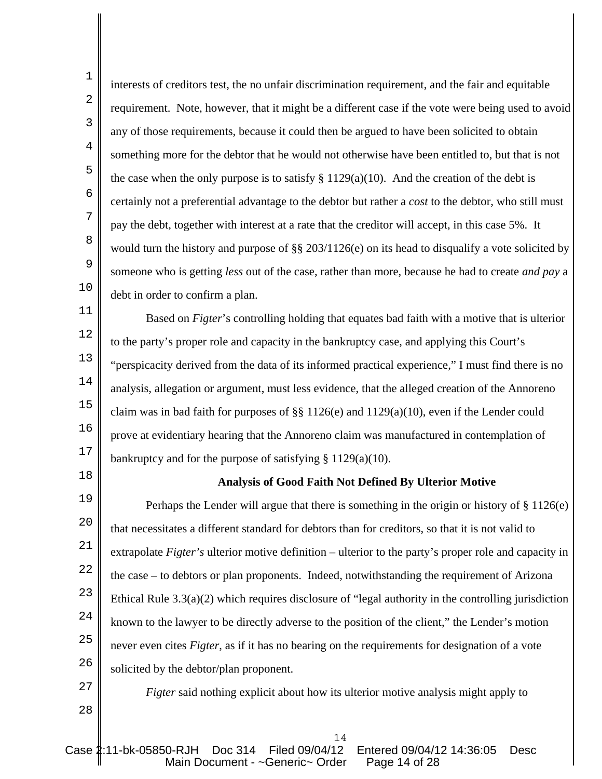interests of creditors test, the no unfair discrimination requirement, and the fair and equitable requirement. Note, however, that it might be a different case if the vote were being used to avoid any of those requirements, because it could then be argued to have been solicited to obtain something more for the debtor that he would not otherwise have been entitled to, but that is not the case when the only purpose is to satisfy  $\S 1129(a)(10)$ . And the creation of the debt is certainly not a preferential advantage to the debtor but rather a *cost* to the debtor, who still must pay the debt, together with interest at a rate that the creditor will accept, in this case 5%. It would turn the history and purpose of §§ 203/1126(e) on its head to disqualify a vote solicited by someone who is getting *less* out of the case, rather than more, because he had to create *and pay* a debt in order to confirm a plan.

11 Based on *Figter*'s controlling holding that equates bad faith with a motive that is ulterior to the party's proper role and capacity in the bankruptcy case, and applying this Court's "perspicacity derived from the data of its informed practical experience," I must find there is no analysis, allegation or argument, must less evidence, that the alleged creation of the Annoreno claim was in bad faith for purposes of §§ 1126(e) and 1129(a)(10), even if the Lender could prove at evidentiary hearing that the Annoreno claim was manufactured in contemplation of bankruptcy and for the purpose of satisfying § 1129(a)(10).

18

1

2

3

4

5

6

7

8

9

10

12

13

14

15

16

17

## **Analysis of Good Faith Not Defined By Ulterior Motive**

19  $20^{\circ}$ 21 22 23 24 25 26 Perhaps the Lender will argue that there is something in the origin or history of § 1126(e) that necessitates a different standard for debtors than for creditors, so that it is not valid to extrapolate *Figter's* ulterior motive definition – ulterior to the party's proper role and capacity in the case – to debtors or plan proponents. Indeed, notwithstanding the requirement of Arizona Ethical Rule 3.3(a)(2) which requires disclosure of "legal authority in the controlling jurisdiction known to the lawyer to be directly adverse to the position of the client," the Lender's motion never even cites *Figter*, as if it has no bearing on the requirements for designation of a vote solicited by the debtor/plan proponent.

27 28

*Figter* said nothing explicit about how its ulterior motive analysis might apply to

14

Case 2:11-bk-05850-RJH Doc 314 Filed 09/04/12 Entered 09/04/12 14:36:05 Desc Main Document - ~Generic~ Order Page 14 of 28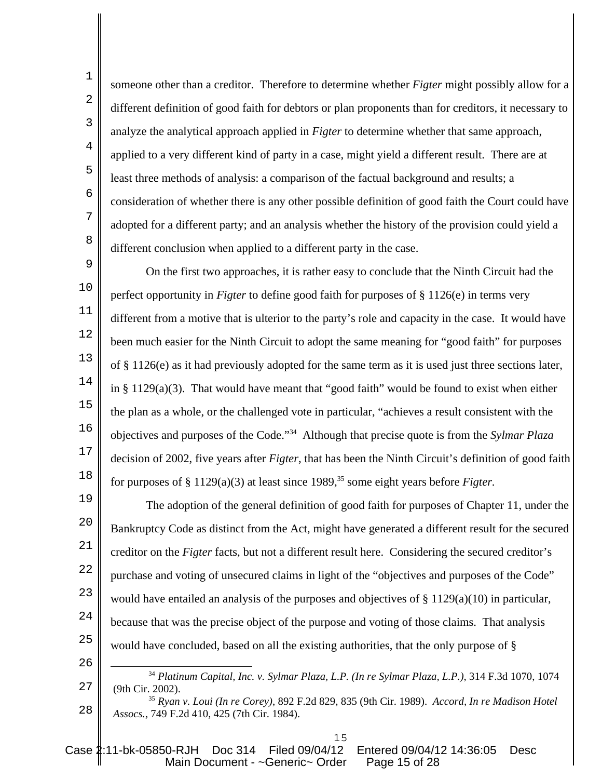someone other than a creditor. Therefore to determine whether *Figter* might possibly allow for a different definition of good faith for debtors or plan proponents than for creditors, it necessary to analyze the analytical approach applied in *Figter* to determine whether that same approach, applied to a very different kind of party in a case, might yield a different result. There are at least three methods of analysis: a comparison of the factual background and results; a consideration of whether there is any other possible definition of good faith the Court could have adopted for a different party; and an analysis whether the history of the provision could yield a different conclusion when applied to a different party in the case.

1

2

3

4

5

6

7

8

26

9 10 11 12 13 14 15 16 17 18 On the first two approaches, it is rather easy to conclude that the Ninth Circuit had the perfect opportunity in *Figter* to define good faith for purposes of § 1126(e) in terms very different from a motive that is ulterior to the party's role and capacity in the case. It would have been much easier for the Ninth Circuit to adopt the same meaning for "good faith" for purposes of § 1126(e) as it had previously adopted for the same term as it is used just three sections later, in  $\S 1129(a)(3)$ . That would have meant that "good faith" would be found to exist when either the plan as a whole, or the challenged vote in particular, "achieves a result consistent with the objectives and purposes of the Code."34 Although that precise quote is from the *Sylmar Plaza* decision of 2002, five years after *Figter*, that has been the Ninth Circuit's definition of good faith for purposes of  $\S 1129(a)(3)$  at least since 1989,<sup>35</sup> some eight years before *Figter*.

19  $20^{\circ}$ 21 22 23 24 25 The adoption of the general definition of good faith for purposes of Chapter 11, under the Bankruptcy Code as distinct from the Act, might have generated a different result for the secured creditor on the *Figter* facts, but not a different result here. Considering the secured creditor's purchase and voting of unsecured claims in light of the "objectives and purposes of the Code" would have entailed an analysis of the purposes and objectives of  $\S 1129(a)(10)$  in particular, because that was the precise object of the purpose and voting of those claims. That analysis would have concluded, based on all the existing authorities, that the only purpose of §

27 <sup>34</sup> *Platinum Capital, Inc. v. Sylmar Plaza, L.P. (In re Sylmar Plaza, L.P.)*, 314 F.3d 1070, 1074 (9th Cir. 2002).

28 <sup>35</sup> *Ryan v. Loui (In re Corey)*, 892 F.2d 829, 835 (9th Cir. 1989). *Accord, In re Madison Hotel Assocs.*, 749 F.2d 410, 425 (7th Cir. 1984).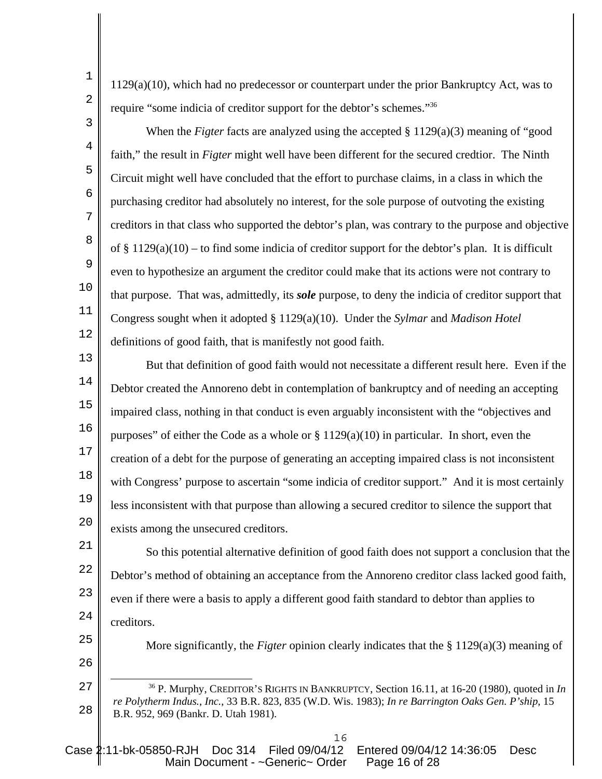1129(a)(10), which had no predecessor or counterpart under the prior Bankruptcy Act, was to require "some indicia of creditor support for the debtor's schemes."36

1

2

3

4

5

6

7

8

9

10

11

12

25

26

When the *Figter* facts are analyzed using the accepted § 1129(a)(3) meaning of "good faith," the result in *Figter* might well have been different for the secured credtior. The Ninth Circuit might well have concluded that the effort to purchase claims, in a class in which the purchasing creditor had absolutely no interest, for the sole purpose of outvoting the existing creditors in that class who supported the debtor's plan, was contrary to the purpose and objective of  $\S 1129(a)(10)$  – to find some indicia of creditor support for the debtor's plan. It is difficult even to hypothesize an argument the creditor could make that its actions were not contrary to that purpose. That was, admittedly, its *sole* purpose, to deny the indicia of creditor support that Congress sought when it adopted § 1129(a)(10). Under the *Sylmar* and *Madison Hotel* definitions of good faith, that is manifestly not good faith.

13 14 15 16 17 18 19  $20^{\circ}$ But that definition of good faith would not necessitate a different result here. Even if the Debtor created the Annoreno debt in contemplation of bankruptcy and of needing an accepting impaired class, nothing in that conduct is even arguably inconsistent with the "objectives and purposes" of either the Code as a whole or  $\S 1129(a)(10)$  in particular. In short, even the creation of a debt for the purpose of generating an accepting impaired class is not inconsistent with Congress' purpose to ascertain "some indicia of creditor support." And it is most certainly less inconsistent with that purpose than allowing a secured creditor to silence the support that exists among the unsecured creditors.

21 22 23 24 So this potential alternative definition of good faith does not support a conclusion that the Debtor's method of obtaining an acceptance from the Annoreno creditor class lacked good faith, even if there were a basis to apply a different good faith standard to debtor than applies to creditors.

More significantly, the *Figter* opinion clearly indicates that the § 1129(a)(3) meaning of

<sup>27</sup> 28 36 P. Murphy, CREDITOR'S RIGHTS IN BANKRUPTCY, Section 16.11, at 16-20 (1980), quoted in *In re Polytherm Indus., Inc.*, 33 B.R. 823, 835 (W.D. Wis. 1983); *In re Barrington Oaks Gen. P'ship*, 15 B.R. 952, 969 (Bankr. D. Utah 1981).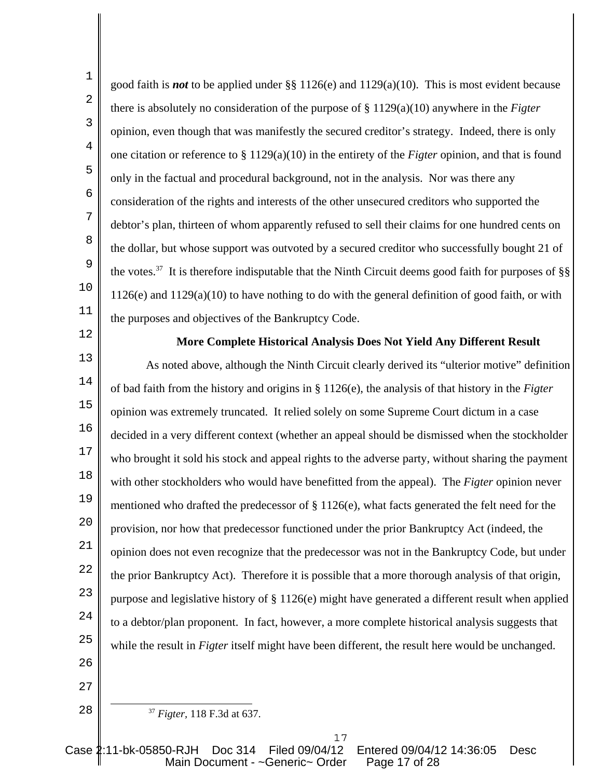11 good faith is *not* to be applied under §§ 1126(e) and 1129(a)(10). This is most evident because there is absolutely no consideration of the purpose of § 1129(a)(10) anywhere in the *Figter* opinion, even though that was manifestly the secured creditor's strategy. Indeed, there is only one citation or reference to § 1129(a)(10) in the entirety of the *Figter* opinion, and that is found only in the factual and procedural background, not in the analysis. Nor was there any consideration of the rights and interests of the other unsecured creditors who supported the debtor's plan, thirteen of whom apparently refused to sell their claims for one hundred cents on the dollar, but whose support was outvoted by a secured creditor who successfully bought 21 of the votes.37 It is therefore indisputable that the Ninth Circuit deems good faith for purposes of §§ 1126(e) and 1129(a)(10) to have nothing to do with the general definition of good faith, or with the purposes and objectives of the Bankruptcy Code.

**More Complete Historical Analysis Does Not Yield Any Different Result**

13 14 15 16 17 18 19  $20^{\circ}$ 21 22 23 24 25 As noted above, although the Ninth Circuit clearly derived its "ulterior motive" definition of bad faith from the history and origins in § 1126(e), the analysis of that history in the *Figter* opinion was extremely truncated. It relied solely on some Supreme Court dictum in a case decided in a very different context (whether an appeal should be dismissed when the stockholder who brought it sold his stock and appeal rights to the adverse party, without sharing the payment with other stockholders who would have benefitted from the appeal). The *Figter* opinion never mentioned who drafted the predecessor of § 1126(e), what facts generated the felt need for the provision, nor how that predecessor functioned under the prior Bankruptcy Act (indeed, the opinion does not even recognize that the predecessor was not in the Bankruptcy Code, but under the prior Bankruptcy Act). Therefore it is possible that a more thorough analysis of that origin, purpose and legislative history of § 1126(e) might have generated a different result when applied to a debtor/plan proponent. In fact, however, a more complete historical analysis suggests that while the result in *Figter* itself might have been different, the result here would be unchanged.

26 27

28

1

2

3

4

5

6

7

8

9

10

12

<sup>37</sup> *Figter,* 118 F.3d at 637.

Case 2:11-bk-05850-RJH Doc 314 Filed 09/04/12 Entered 09/04/12 14:36:05 Desc Main Document - ~Generic~ Order Page 17 of 28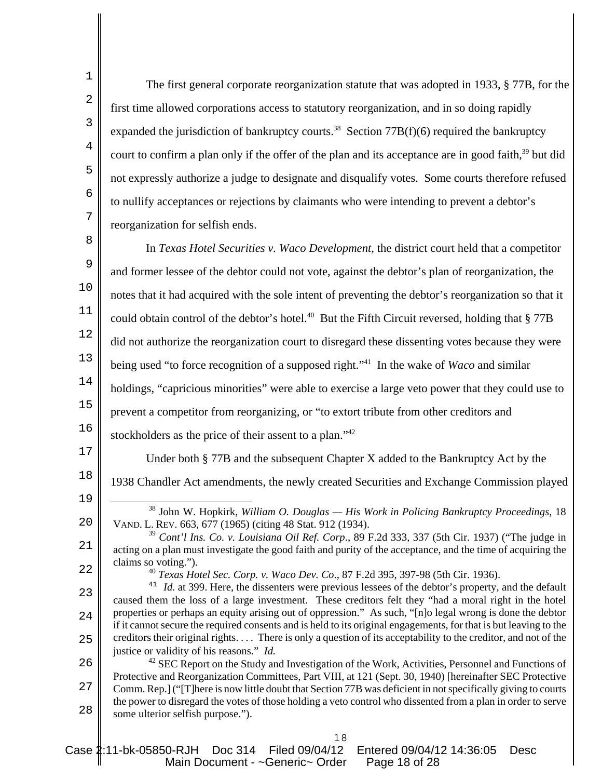The first general corporate reorganization statute that was adopted in 1933, § 77B, for the first time allowed corporations access to statutory reorganization, and in so doing rapidly expanded the jurisdiction of bankruptcy courts.<sup>38</sup> Section  $77B(f)(6)$  required the bankruptcy court to confirm a plan only if the offer of the plan and its acceptance are in good faith.<sup>39</sup> but did not expressly authorize a judge to designate and disqualify votes. Some courts therefore refused to nullify acceptances or rejections by claimants who were intending to prevent a debtor's reorganization for selfish ends.

8 9 10 11 12 13 14 15 16 In *Texas Hotel Securities v. Waco Development*, the district court held that a competitor and former lessee of the debtor could not vote, against the debtor's plan of reorganization, the notes that it had acquired with the sole intent of preventing the debtor's reorganization so that it could obtain control of the debtor's hotel.<sup>40</sup> But the Fifth Circuit reversed, holding that  $\S 77B$ did not authorize the reorganization court to disregard these dissenting votes because they were being used "to force recognition of a supposed right."41 In the wake of *Waco* and similar holdings, "capricious minorities" were able to exercise a large veto power that they could use to prevent a competitor from reorganizing, or "to extort tribute from other creditors and stockholders as the price of their assent to a plan."<sup>42</sup>

Under both § 77B and the subsequent Chapter X added to the Bankruptcy Act by the

18 1938 Chandler Act amendments, the newly created Securities and Exchange Commission played

19

 $20^{\circ}$ 

17

1

2

3

4

5

6

7

38 John W. Hopkirk, *William O. Douglas — His Work in Policing Bankruptcy Proceedings*, 18 VAND. L. REV. 663, 677 (1965) (citing 48 Stat. 912 (1934).

21 22 <sup>39</sup> *Cont'l Ins. Co. v. Louisiana Oil Ref. Corp*., 89 F.2d 333, 337 (5th Cir. 1937) ("The judge in acting on a plan must investigate the good faith and purity of the acceptance, and the time of acquiring the claims so voting.").

<sup>40</sup> *Texas Hotel Sec. Corp. v. Waco Dev. Co*., 87 F.2d 395, 397-98 (5th Cir. 1936).

23 24 25 <sup>41</sup> *Id.* at 399. Here, the dissenters were previous lessees of the debtor's property, and the default caused them the loss of a large investment. These creditors felt they "had a moral right in the hotel properties or perhaps an equity arising out of oppression." As such, "[n]o legal wrong is done the debtor if it cannot secure the required consents and is held to its original engagements, for that is but leaving to the creditors their original rights. . . . There is only a question of its acceptability to the creditor, and not of the justice or validity of his reasons." *Id.* 42 SEC Report on the Study and Investigation of the Work, Activities, Personnel and Functions of

26 27 28 Protective and Reorganization Committees, Part VIII, at 121 (Sept. 30, 1940) [hereinafter SEC Protective Comm. Rep.] ("[T]here is now little doubt that Section 77B was deficient in not specifically giving to courts the power to disregard the votes of those holding a veto control who dissented from a plan in order to serve some ulterior selfish purpose.").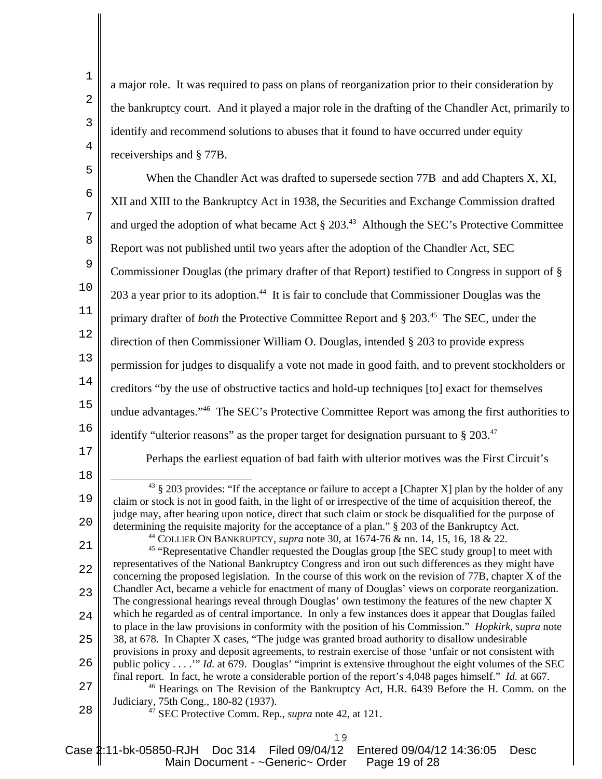|                | a major role. It was required to pass on plans of reorganization prior to their consideration by                                                                                                                                                        |
|----------------|---------------------------------------------------------------------------------------------------------------------------------------------------------------------------------------------------------------------------------------------------------|
| $\overline{2}$ | the bankruptcy court. And it played a major role in the drafting of the Chandler Act, primarily to                                                                                                                                                      |
| 3              | identify and recommend solutions to abuses that it found to have occurred under equity                                                                                                                                                                  |
| 4              | receiverships and §77B.                                                                                                                                                                                                                                 |
| 5              | When the Chandler Act was drafted to supersede section 77B and add Chapters X, XI,                                                                                                                                                                      |
| 6              | XII and XIII to the Bankruptcy Act in 1938, the Securities and Exchange Commission drafted                                                                                                                                                              |
| 7              | and urged the adoption of what became Act $\S 20343$ Although the SEC's Protective Committee                                                                                                                                                            |
| 8              | Report was not published until two years after the adoption of the Chandler Act, SEC                                                                                                                                                                    |
| $\overline{9}$ | Commissioner Douglas (the primary drafter of that Report) testified to Congress in support of §                                                                                                                                                         |
| 10             | 203 a year prior to its adoption. <sup>44</sup> It is fair to conclude that Commissioner Douglas was the                                                                                                                                                |
| 11             | primary drafter of <i>both</i> the Protective Committee Report and § 203. <sup>45</sup> The SEC, under the                                                                                                                                              |
| 12             | direction of then Commissioner William O. Douglas, intended § 203 to provide express                                                                                                                                                                    |
| 13             | permission for judges to disqualify a vote not made in good faith, and to prevent stockholders or                                                                                                                                                       |
| 14             | creditors "by the use of obstructive tactics and hold-up techniques [to] exact for themselves                                                                                                                                                           |
| 15             |                                                                                                                                                                                                                                                         |
|                | undue advantages." <sup>46</sup> The SEC's Protective Committee Report was among the first authorities to                                                                                                                                               |
| 16             | identify "ulterior reasons" as the proper target for designation pursuant to $\S 203.^{47}$                                                                                                                                                             |
| $17$           | Perhaps the earliest equation of bad faith with ulterior motives was the First Circuit's                                                                                                                                                                |
| 18<br>19       | $43 \text{ }$ \$ 203 provides: "If the acceptance or failure to accept a [Chapter X] plan by the holder of any<br>claim or stock is not in good faith, in the light of or irrespective of the time of acquisition thereof, the                          |
| $2\,0$         | judge may, after hearing upon notice, direct that such claim or stock be disqualified for the purpose of<br>determining the requisite majority for the acceptance of a plan." § 203 of the Bankruptcy Act.                                              |
| 21             | <sup>44</sup> COLLIER ON BANKRUPTCY, <i>supra</i> note 30, at 1674-76 & nn. 14, 15, 16, 18 & 22.<br><sup>45</sup> "Representative Chandler requested the Douglas group [the SEC study group] to meet with                                               |
| 22             | representatives of the National Bankruptcy Congress and iron out such differences as they might have<br>concerning the proposed legislation. In the course of this work on the revision of 77B, chapter X of the                                        |
| 23             | Chandler Act, became a vehicle for enactment of many of Douglas' views on corporate reorganization.<br>The congressional hearings reveal through Douglas' own testimony the features of the new chapter X                                               |
| 24             | which he regarded as of central importance. In only a few instances does it appear that Douglas failed<br>to place in the law provisions in conformity with the position of his Commission." Hopkirk, supra note                                        |
| 25             | 38, at 678. In Chapter X cases, "The judge was granted broad authority to disallow undesirable                                                                                                                                                          |
| 26             | provisions in proxy and deposit agreements, to restrain exercise of those 'unfair or not consistent with<br>public policy" Id. at 679. Douglas' "imprint is extensive throughout the eight volumes of the SEC                                           |
| 27             | final report. In fact, he wrote a considerable portion of the report's 4,048 pages himself." Id. at 667.<br><sup>46</sup> Hearings on The Revision of the Bankruptcy Act, H.R. 6439 Before the H. Comm. on the<br>Judiciary, 75th Cong., 180-82 (1937). |

Case 2:11-bk-05850-RJH Doc 314 Filed 09/04/12 Entered 09/04/12 14:36:05 Desc Main Document - ~Generic~ Order Page 19 of 28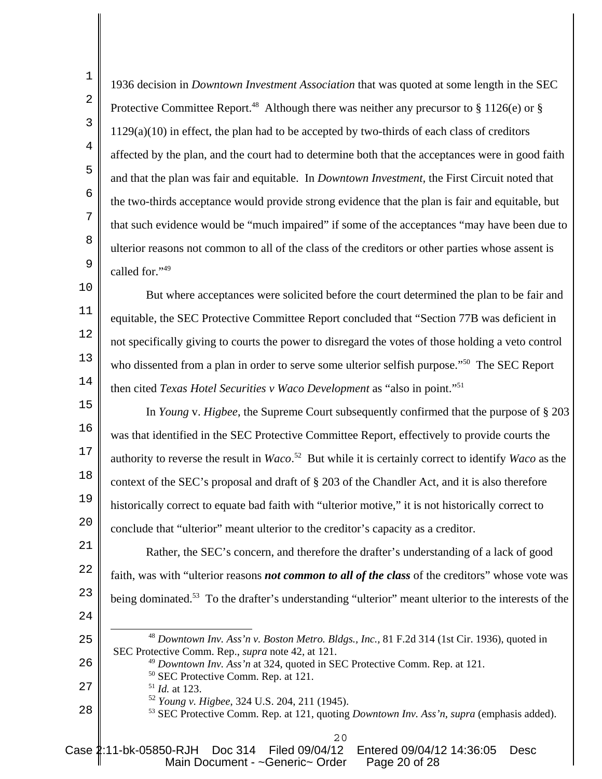1936 decision in *Downtown Investment Association* that was quoted at some length in the SEC Protective Committee Report.<sup>48</sup> Although there was neither any precursor to § 1126(e) or §  $1129(a)(10)$  in effect, the plan had to be accepted by two-thirds of each class of creditors affected by the plan, and the court had to determine both that the acceptances were in good faith and that the plan was fair and equitable. In *Downtown Investment,* the First Circuit noted that the two-thirds acceptance would provide strong evidence that the plan is fair and equitable, but that such evidence would be "much impaired" if some of the acceptances "may have been due to ulterior reasons not common to all of the class of the creditors or other parties whose assent is called for."49

10 11 12 13 14 But where acceptances were solicited before the court determined the plan to be fair and equitable, the SEC Protective Committee Report concluded that "Section 77B was deficient in not specifically giving to courts the power to disregard the votes of those holding a veto control who dissented from a plan in order to serve some ulterior selfish purpose."<sup>50</sup> The SEC Report then cited *Texas Hotel Securities v Waco Development* as "also in point."51

15 16 17 18 19  $20^{\circ}$ In *Young* v. *Higbee*, the Supreme Court subsequently confirmed that the purpose of § 203 was that identified in the SEC Protective Committee Report, effectively to provide courts the authority to reverse the result in *Waco*. 52 But while it is certainly correct to identify *Waco* as the context of the SEC's proposal and draft of § 203 of the Chandler Act, and it is also therefore historically correct to equate bad faith with "ulterior motive," it is not historically correct to conclude that "ulterior" meant ulterior to the creditor's capacity as a creditor.

21 22 23 Rather, the SEC's concern, and therefore the drafter's understanding of a lack of good faith, was with "ulterior reasons *not common to all of the class* of the creditors" whose vote was being dominated.<sup>53</sup> To the drafter's understanding "ulterior" meant ulterior to the interests of the

24

25

26

27

28

1

2

3

4

5

6

7

8

9

<sup>48</sup> *Downtown Inv. Ass'n v. Boston Metro. Bldgs., Inc.,* 81 F.2d 314 (1st Cir. 1936), quoted in SEC Protective Comm. Rep., *supra* note 42, at 121.

- <sup>49</sup> *Downtown Inv. Ass'n* at 324, quoted in SEC Protective Comm. Rep. at 121.
- 50 SEC Protective Comm. Rep. at 121.
- <sup>51</sup> *Id.* at 123.
	- <sup>52</sup> *Young v. Higbee*, 324 U.S. 204, 211 (1945).
- 53 SEC Protective Comm. Rep. at 121, quoting *Downtown Inv. Ass'n*, *supra* (emphasis added).
	- $20$

Case 2:11-bk-05850-RJH Doc 314 Filed 09/04/12 Entered 09/04/12 14:36:05 Desc Main Document - ~Generic~ Order Page 20 of 28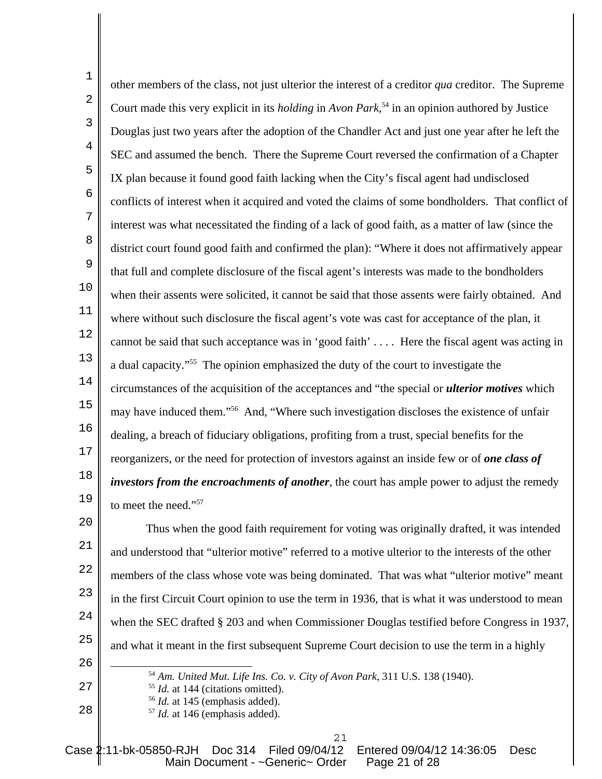1 2 3 4 5 6 7 8 9 10 11 12 13 14 15 16 17 18 19 other members of the class, not just ulterior the interest of a creditor *qua* creditor. The Supreme Court made this very explicit in its *holding* in *Avon Park*, 54 in an opinion authored by Justice Douglas just two years after the adoption of the Chandler Act and just one year after he left the SEC and assumed the bench. There the Supreme Court reversed the confirmation of a Chapter IX plan because it found good faith lacking when the City's fiscal agent had undisclosed conflicts of interest when it acquired and voted the claims of some bondholders. That conflict of interest was what necessitated the finding of a lack of good faith, as a matter of law (since the district court found good faith and confirmed the plan): "Where it does not affirmatively appear that full and complete disclosure of the fiscal agent's interests was made to the bondholders when their assents were solicited, it cannot be said that those assents were fairly obtained. And where without such disclosure the fiscal agent's vote was cast for acceptance of the plan, it cannot be said that such acceptance was in 'good faith' . . . . Here the fiscal agent was acting in a dual capacity."55 The opinion emphasized the duty of the court to investigate the circumstances of the acquisition of the acceptances and "the special or *ulterior motives* which may have induced them."56 And, "Where such investigation discloses the existence of unfair dealing, a breach of fiduciary obligations, profiting from a trust, special benefits for the reorganizers, or the need for protection of investors against an inside few or of *one class of investors from the encroachments of another*, the court has ample power to adjust the remedy to meet the need."57

 $20^{\circ}$ 21 22 23 24 25 26 Thus when the good faith requirement for voting was originally drafted, it was intended and understood that "ulterior motive" referred to a motive ulterior to the interests of the other members of the class whose vote was being dominated. That was what "ulterior motive" meant in the first Circuit Court opinion to use the term in 1936, that is what it was understood to mean when the SEC drafted § 203 and when Commissioner Douglas testified before Congress in 1937, and what it meant in the first subsequent Supreme Court decision to use the term in a highly

<sup>54</sup> *Am. United Mut. Life Ins. Co. v. City of Avon Park*, 311 U.S. 138 (1940).

- <sup>55</sup> *Id.* at 144 (citations omitted).
- <sup>56</sup> *Id.* at 145 (emphasis added).

27

28

<sup>57</sup> *Id.* at 146 (emphasis added).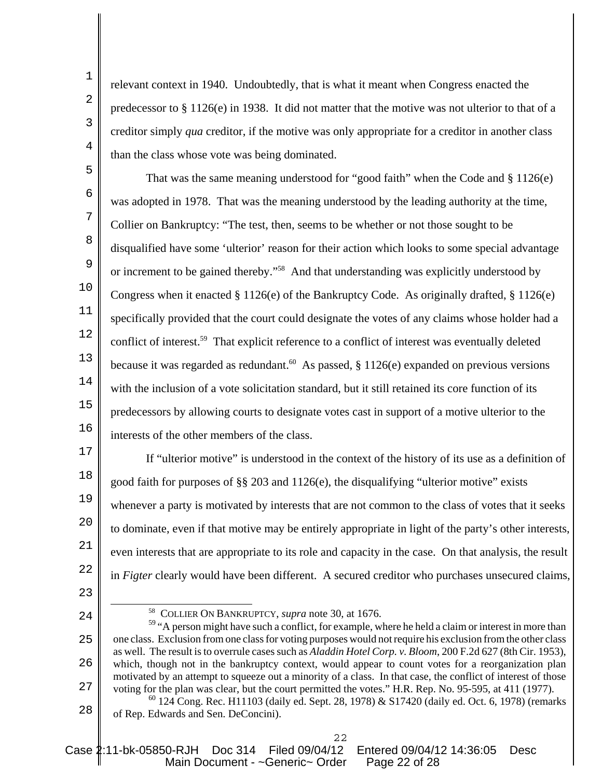relevant context in 1940. Undoubtedly, that is what it meant when Congress enacted the predecessor to § 1126(e) in 1938. It did not matter that the motive was not ulterior to that of a creditor simply *qua* creditor, if the motive was only appropriate for a creditor in another class than the class whose vote was being dominated.

5 6 7 8 9 10 11 12 13 14 15 16 That was the same meaning understood for "good faith" when the Code and § 1126(e) was adopted in 1978. That was the meaning understood by the leading authority at the time, Collier on Bankruptcy: "The test, then, seems to be whether or not those sought to be disqualified have some 'ulterior' reason for their action which looks to some special advantage or increment to be gained thereby."58 And that understanding was explicitly understood by Congress when it enacted § 1126(e) of the Bankruptcy Code. As originally drafted, § 1126(e) specifically provided that the court could designate the votes of any claims whose holder had a conflict of interest.59 That explicit reference to a conflict of interest was eventually deleted because it was regarded as redundant.<sup>60</sup> As passed,  $\S 1126(e)$  expanded on previous versions with the inclusion of a vote solicitation standard, but it still retained its core function of its predecessors by allowing courts to designate votes cast in support of a motive ulterior to the interests of the other members of the class.

17 18 19  $20^{\circ}$ 21 22 If "ulterior motive" is understood in the context of the history of its use as a definition of good faith for purposes of §§ 203 and 1126(e), the disqualifying "ulterior motive" exists whenever a party is motivated by interests that are not common to the class of votes that it seeks to dominate, even if that motive may be entirely appropriate in light of the party's other interests, even interests that are appropriate to its role and capacity in the case. On that analysis, the result in *Figter* clearly would have been different. A secured creditor who purchases unsecured claims,

23

24

1

2

3

4

58 COLLIER ON BANKRUPTCY, *supra* note 30, at 1676.

<sup>25</sup> 26 27 <sup>59</sup> "A person might have such a conflict, for example, where he held a claim or interest in more than one class. Exclusion from one class for voting purposes would not require his exclusion from the other class as well. The result is to overrule cases such as *Aladdin Hotel Corp. v. Bloom*, 200 F.2d 627 (8th Cir. 1953), which, though not in the bankruptcy context, would appear to count votes for a reorganization plan motivated by an attempt to squeeze out a minority of a class. In that case, the conflict of interest of those voting for the plan was clear, but the court permitted the votes." H.R. Rep. No. 95-595, at 411 (1977).

<sup>28</sup>  $60$  124 Cong. Rec. H11103 (daily ed. Sept. 28, 1978) & S17420 (daily ed. Oct. 6, 1978) (remarks of Rep. Edwards and Sen. DeConcini).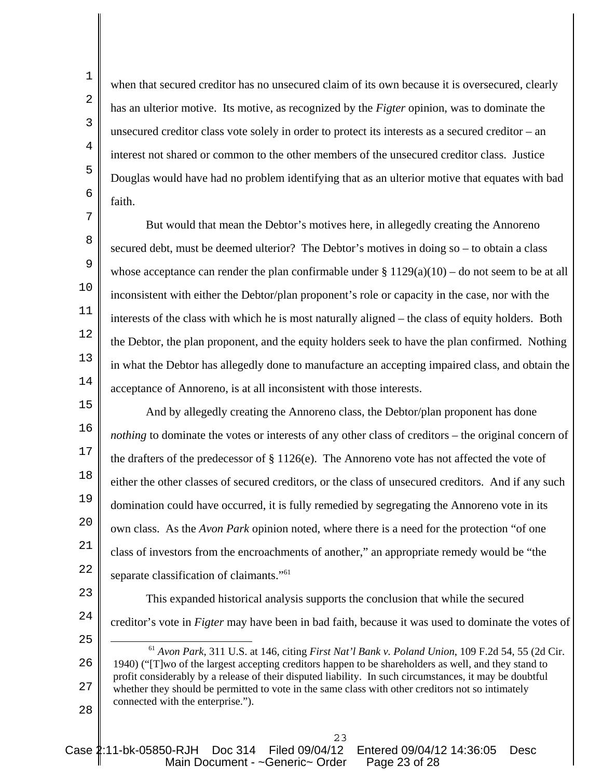when that secured creditor has no unsecured claim of its own because it is oversecured, clearly has an ulterior motive. Its motive, as recognized by the *Figter* opinion, was to dominate the unsecured creditor class vote solely in order to protect its interests as a secured creditor – an interest not shared or common to the other members of the unsecured creditor class. Justice Douglas would have had no problem identifying that as an ulterior motive that equates with bad faith.

11 12 13 14 But would that mean the Debtor's motives here, in allegedly creating the Annoreno secured debt, must be deemed ulterior? The Debtor's motives in doing so – to obtain a class whose acceptance can render the plan confirmable under  $\S 1129(a)(10)$  – do not seem to be at all inconsistent with either the Debtor/plan proponent's role or capacity in the case, nor with the interests of the class with which he is most naturally aligned – the class of equity holders. Both the Debtor, the plan proponent, and the equity holders seek to have the plan confirmed. Nothing in what the Debtor has allegedly done to manufacture an accepting impaired class, and obtain the acceptance of Annoreno, is at all inconsistent with those interests.

15 16 17 18 19  $20^{\circ}$ 21 22 And by allegedly creating the Annoreno class, the Debtor/plan proponent has done *nothing* to dominate the votes or interests of any other class of creditors – the original concern of the drafters of the predecessor of § 1126(e). The Annoreno vote has not affected the vote of either the other classes of secured creditors, or the class of unsecured creditors. And if any such domination could have occurred, it is fully remedied by segregating the Annoreno vote in its own class. As the *Avon Park* opinion noted, where there is a need for the protection "of one class of investors from the encroachments of another," an appropriate remedy would be "the separate classification of claimants."<sup>61</sup>

23

This expanded historical analysis supports the conclusion that while the secured creditor's vote in *Figter* may have been in bad faith, because it was used to dominate the votes of

25

24

26 27 28 <sup>61</sup> *Avon Park*, 311 U.S. at 146, citing *First Nat'l Bank v. Poland Union*, 109 F.2d 54, 55 (2d Cir. 1940) ("[T]wo of the largest accepting creditors happen to be shareholders as well, and they stand to profit considerably by a release of their disputed liability. In such circumstances, it may be doubtful whether they should be permitted to vote in the same class with other creditors not so intimately connected with the enterprise.").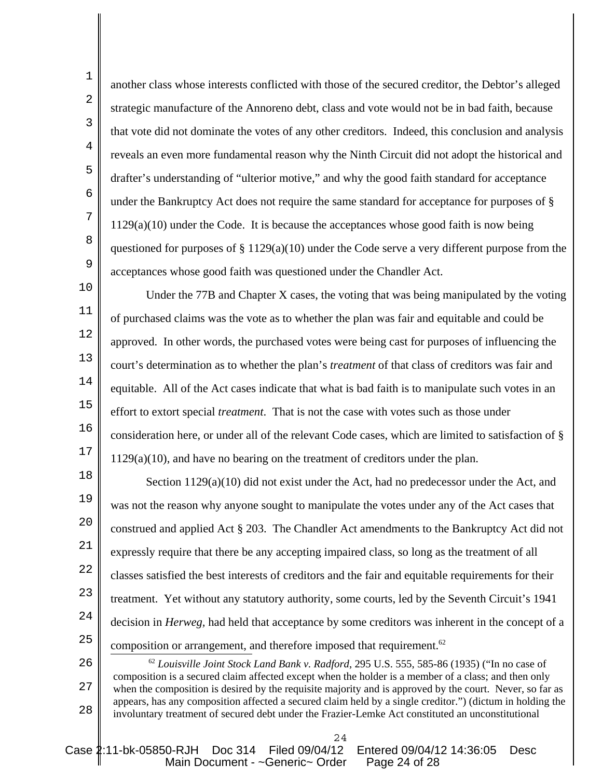another class whose interests conflicted with those of the secured creditor, the Debtor's alleged strategic manufacture of the Annoreno debt, class and vote would not be in bad faith, because that vote did not dominate the votes of any other creditors. Indeed, this conclusion and analysis reveals an even more fundamental reason why the Ninth Circuit did not adopt the historical and drafter's understanding of "ulterior motive," and why the good faith standard for acceptance under the Bankruptcy Act does not require the same standard for acceptance for purposes of § 1129(a)(10) under the Code. It is because the acceptances whose good faith is now being questioned for purposes of § 1129(a)(10) under the Code serve a very different purpose from the acceptances whose good faith was questioned under the Chandler Act.

13 14 15 16 17 Under the 77B and Chapter X cases, the voting that was being manipulated by the voting of purchased claims was the vote as to whether the plan was fair and equitable and could be approved. In other words, the purchased votes were being cast for purposes of influencing the court's determination as to whether the plan's *treatment* of that class of creditors was fair and equitable. All of the Act cases indicate that what is bad faith is to manipulate such votes in an effort to extort special *treatment*. That is not the case with votes such as those under consideration here, or under all of the relevant Code cases, which are limited to satisfaction of § 1129(a)(10), and have no bearing on the treatment of creditors under the plan.

18 19  $20^{\circ}$ 21 22 23 24 25 Section 1129(a)(10) did not exist under the Act, had no predecessor under the Act, and was not the reason why anyone sought to manipulate the votes under any of the Act cases that construed and applied Act § 203. The Chandler Act amendments to the Bankruptcy Act did not expressly require that there be any accepting impaired class, so long as the treatment of all classes satisfied the best interests of creditors and the fair and equitable requirements for their treatment. Yet without any statutory authority, some courts, led by the Seventh Circuit's 1941 decision in *Herweg,* had held that acceptance by some creditors was inherent in the concept of a composition or arrangement, and therefore imposed that requirement.<sup>62</sup>

26 27 28 <sup>62</sup> *Louisville Joint Stock Land Bank v. Radford*, 295 U.S. 555, 585-86 (1935) ("In no case of composition is a secured claim affected except when the holder is a member of a class; and then only when the composition is desired by the requisite majority and is approved by the court. Never, so far as appears, has any composition affected a secured claim held by a single creditor.") (dictum in holding the involuntary treatment of secured debt under the Frazier-Lemke Act constituted an unconstitutional

Case 2:11-bk-05850-RJH Doc 314 Filed 09/04/12 Entered 09/04/12 14:36:05 Desc Main Document - ~Generic~ Order Page 24 of 28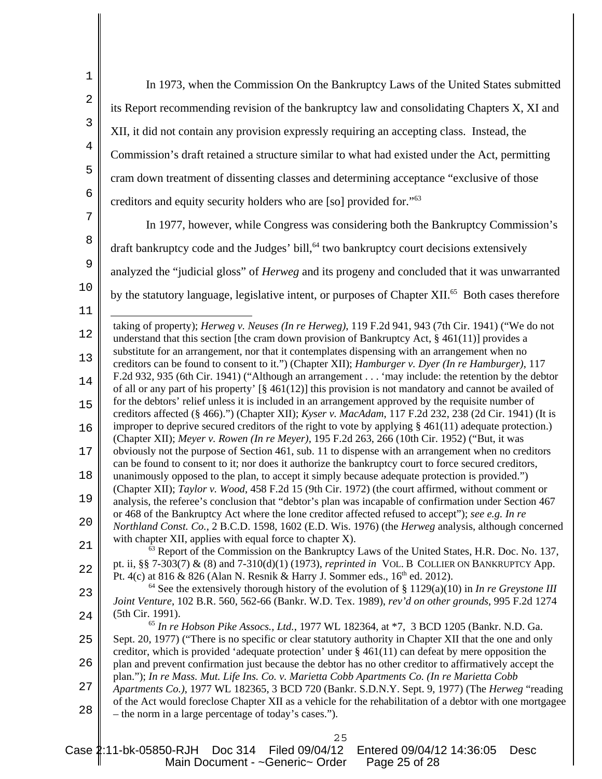| $1\,$          | In 1973, when the Commission On the Bankruptcy Laws of the United States submitted                                                                                                                                  |
|----------------|---------------------------------------------------------------------------------------------------------------------------------------------------------------------------------------------------------------------|
| $\overline{2}$ | its Report recommending revision of the bankruptcy law and consolidating Chapters X, XI and                                                                                                                         |
| 3              | XII, it did not contain any provision expressly requiring an accepting class. Instead, the                                                                                                                          |
| $\overline{4}$ | Commission's draft retained a structure similar to what had existed under the Act, permitting                                                                                                                       |
| 5              | cram down treatment of dissenting classes and determining acceptance "exclusive of those                                                                                                                            |
| $\epsilon$     | creditors and equity security holders who are [so] provided for." <sup>63</sup>                                                                                                                                     |
| 7              | In 1977, however, while Congress was considering both the Bankruptcy Commission's                                                                                                                                   |
| 8              |                                                                                                                                                                                                                     |
| 9              | draft bankruptcy code and the Judges' bill, <sup>64</sup> two bankruptcy court decisions extensively                                                                                                                |
|                | analyzed the "judicial gloss" of Herweg and its progeny and concluded that it was unwarranted                                                                                                                       |
| $10$           | by the statutory language, legislative intent, or purposes of Chapter XII. <sup>65</sup> Both cases therefore                                                                                                       |
| $11\,$         |                                                                                                                                                                                                                     |
| 12             | taking of property); <i>Herweg v. Neuses (In re Herweg)</i> , 119 F.2d 941, 943 (7th Cir. 1941) ("We do not<br>understand that this section [the cram down provision of Bankruptcy Act, $\S$ 461(11)] provides a    |
| $13$           | substitute for an arrangement, nor that it contemplates dispensing with an arrangement when no<br>creditors can be found to consent to it.") (Chapter XII); Hamburger v. Dyer (In re Hamburger), 117                |
| $14\,$         | F.2d 932, 935 (6th Cir. 1941) ("Although an arrangement 'may include: the retention by the debtor                                                                                                                   |
| 15             | of all or any part of his property' $[\S 461(12)]$ this provision is not mandatory and cannot be availed of<br>for the debtors' relief unless it is included in an arrangement approved by the requisite number of  |
|                | creditors affected (§ 466).") (Chapter XII); Kyser v. MacAdam, 117 F.2d 232, 238 (2d Cir. 1941) (It is<br>improper to deprive secured creditors of the right to vote by applying $\S$ 461(11) adequate protection.) |
| 16             | (Chapter XII); Meyer v. Rowen (In re Meyer), 195 F.2d 263, 266 (10th Cir. 1952) ("But, it was                                                                                                                       |
| $17$           | obviously not the purpose of Section 461, sub. 11 to dispense with an arrangement when no creditors<br>can be found to consent to it; nor does it authorize the bankruptcy court to force secured creditors,        |
| 18             | unanimously opposed to the plan, to accept it simply because adequate protection is provided.")                                                                                                                     |
| 19             | (Chapter XII); Taylor v. Wood, 458 F.2d 15 (9th Cir. 1972) (the court affirmed, without comment or<br>analysis, the referee's conclusion that "debtor's plan was incapable of confirmation under Section 467        |
| 20             | or 468 of the Bankruptcy Act where the lone creditor affected refused to accept"); see e.g. In re<br>Northland Const. Co., 2 B.C.D. 1598, 1602 (E.D. Wis. 1976) (the Herweg analysis, although concerned            |
| 21             | with chapter XII, applies with equal force to chapter X).                                                                                                                                                           |
|                | <sup>63</sup> Report of the Commission on the Bankruptcy Laws of the United States, H.R. Doc. No. 137,<br>pt. ii, §§ 7-303(7) & (8) and 7-310(d)(1) (1973), reprinted in VOL. B COLLIER ON BANKRUPTCY App.          |
| 22             | Pt. 4(c) at 816 & 826 (Alan N. Resnik & Harry J. Sommer eds., 16 <sup>th</sup> ed. 2012).<br><sup>64</sup> See the extensively thorough history of the evolution of § 1129(a)(10) in <i>In re Greystone III</i>     |
| 23             | Joint Venture, 102 B.R. 560, 562-66 (Bankr. W.D. Tex. 1989), rev'd on other grounds, 995 F.2d 1274                                                                                                                  |
| 24             | (5th Cir. 1991).<br>$65$ In re Hobson Pike Assocs., Ltd., 1977 WL 182364, at $*7$ , 3 BCD 1205 (Bankr. N.D. Ga.                                                                                                     |
| 25             | Sept. 20, 1977) ("There is no specific or clear statutory authority in Chapter XII that the one and only                                                                                                            |
| 26             | creditor, which is provided 'adequate protection' under $\S$ 461(11) can defeat by mere opposition the<br>plan and prevent confirmation just because the debtor has no other creditor to affirmatively accept the   |
| 27             | plan."); In re Mass. Mut. Life Ins. Co. v. Marietta Cobb Apartments Co. (In re Marietta Cobb<br>Apartments Co.), 1977 WL 182365, 3 BCD 720 (Bankr. S.D.N.Y. Sept. 9, 1977) (The Herweg "reading                     |
| 28             | of the Act would foreclose Chapter XII as a vehicle for the rehabilitation of a debtor with one mortgagee                                                                                                           |
|                | - the norm in a large percentage of today's cases.").                                                                                                                                                               |
|                | 25                                                                                                                                                                                                                  |

Case 2:11-bk-05850-RJH Doc 314 Filed 09/04/12 Entered 09/04/12 14:36:05 Desc Main Document - ~Generic~ Order Page 25 of 28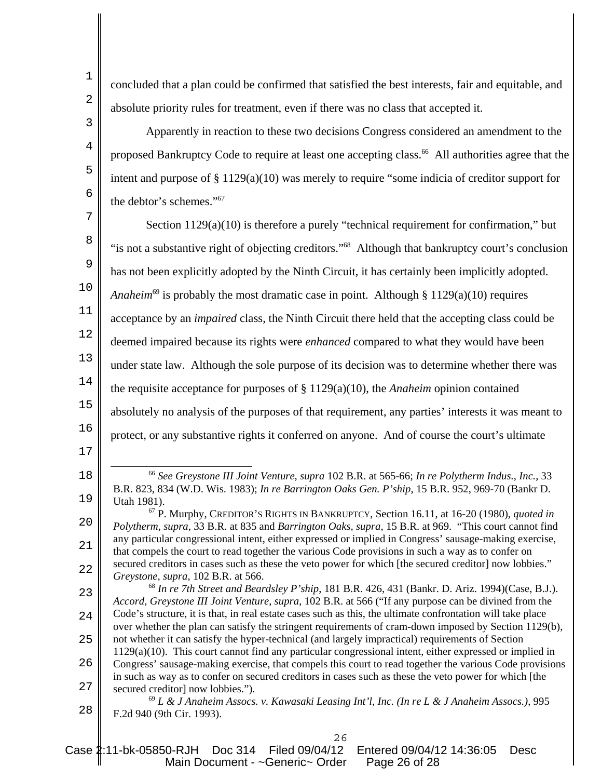3

4

5

6

concluded that a plan could be confirmed that satisfied the best interests, fair and equitable, and absolute priority rules for treatment, even if there was no class that accepted it.

Apparently in reaction to these two decisions Congress considered an amendment to the proposed Bankruptcy Code to require at least one accepting class.<sup>66</sup> All authorities agree that the intent and purpose of § 1129(a)(10) was merely to require "some indicia of creditor support for the debtor's schemes."67

7 8 9 10 11 12 13 14 15 16 17 Section 1129(a)(10) is therefore a purely "technical requirement for confirmation," but "is not a substantive right of objecting creditors."68 Although that bankruptcy court's conclusion has not been explicitly adopted by the Ninth Circuit, it has certainly been implicitly adopted. *Anaheim*<sup>69</sup> is probably the most dramatic case in point. Although § 1129(a)(10) requires acceptance by an *impaired* class, the Ninth Circuit there held that the accepting class could be deemed impaired because its rights were *enhanced* compared to what they would have been under state law. Although the sole purpose of its decision was to determine whether there was the requisite acceptance for purposes of § 1129(a)(10), the *Anaheim* opinion contained absolutely no analysis of the purposes of that requirement, any parties' interests it was meant to protect, or any substantive rights it conferred on anyone. And of course the court's ultimate

23 24 25 26 27 <sup>68</sup> *In re 7th Street and Beardsley P'ship*, 181 B.R. 426, 431 (Bankr. D. Ariz. 1994)(Case, B.J.). *Accord, Greystone III Joint Venture*, *supra*, 102 B.R. at 566 ("If any purpose can be divined from the Code's structure, it is that, in real estate cases such as this, the ultimate confrontation will take place over whether the plan can satisfy the stringent requirements of cram-down imposed by Section 1129(b), not whether it can satisfy the hyper-technical (and largely impractical) requirements of Section 1129(a)(10). This court cannot find any particular congressional intent, either expressed or implied in Congress' sausage-making exercise, that compels this court to read together the various Code provisions in such as way as to confer on secured creditors in cases such as these the veto power for which [the secured creditor] now lobbies.").

28 <sup>69</sup> *L & J Anaheim Assocs. v. Kawasaki Leasing Int'l, Inc. (In re L & J Anaheim Assocs.)*, 995 F.2d 940 (9th Cir. 1993).

<sup>18</sup> 19 <sup>66</sup> *See Greystone III Joint Venture*, *supra* 102 B.R. at 565-66; *In re Polytherm Indus., Inc.*, 33 B.R. 823, 834 (W.D. Wis. 1983); *In re Barrington Oaks Gen. P'ship*, 15 B.R. 952, 969-70 (Bankr D. Utah 1981).

 $20^{\circ}$ 21 22 67 P. Murphy, CREDITOR'S RIGHTS IN BANKRUPTCY, Section 16.11, at 16-20 (1980), *quoted in Polytherm*, *supra*, 33 B.R. at 835 and *Barrington Oaks, supra*, 15 B.R. at 969. "This court cannot find any particular congressional intent, either expressed or implied in Congress' sausage-making exercise, that compels the court to read together the various Code provisions in such a way as to confer on secured creditors in cases such as these the veto power for which [the secured creditor] now lobbies." *Greystone, supra*, 102 B.R. at 566.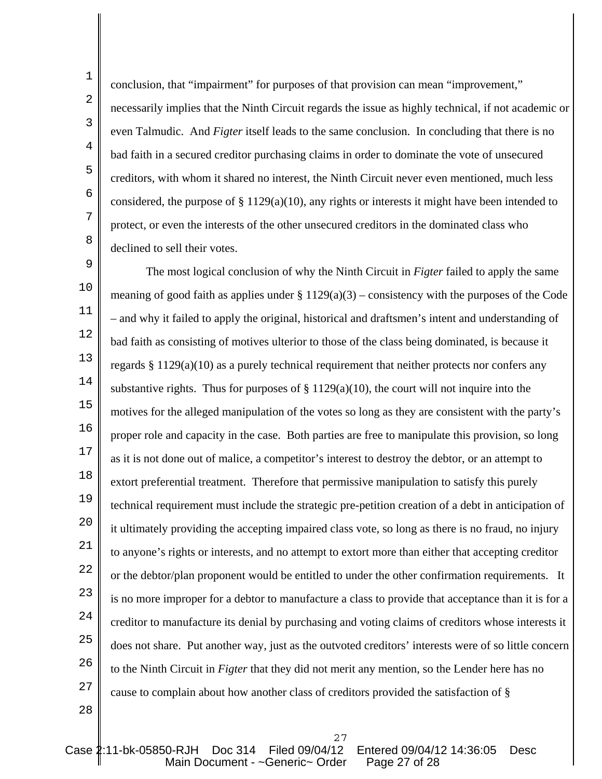1

8

necessarily implies that the Ninth Circuit regards the issue as highly technical, if not academic or even Talmudic. And *Figter* itself leads to the same conclusion. In concluding that there is no bad faith in a secured creditor purchasing claims in order to dominate the vote of unsecured creditors, with whom it shared no interest, the Ninth Circuit never even mentioned, much less considered, the purpose of  $\S 1129(a)(10)$ , any rights or interests it might have been intended to protect, or even the interests of the other unsecured creditors in the dominated class who declined to sell their votes.

conclusion, that "impairment" for purposes of that provision can mean "improvement,"

9 10 11 12 13 14 15 16 17 18 19  $20^{\circ}$ 21 22 23 24 25 26 27 The most logical conclusion of why the Ninth Circuit in *Figter* failed to apply the same meaning of good faith as applies under  $\S 1129(a)(3)$  – consistency with the purposes of the Code – and why it failed to apply the original, historical and draftsmen's intent and understanding of bad faith as consisting of motives ulterior to those of the class being dominated, is because it regards § 1129(a)(10) as a purely technical requirement that neither protects nor confers any substantive rights. Thus for purposes of  $\S 1129(a)(10)$ , the court will not inquire into the motives for the alleged manipulation of the votes so long as they are consistent with the party's proper role and capacity in the case. Both parties are free to manipulate this provision, so long as it is not done out of malice, a competitor's interest to destroy the debtor, or an attempt to extort preferential treatment. Therefore that permissive manipulation to satisfy this purely technical requirement must include the strategic pre-petition creation of a debt in anticipation of it ultimately providing the accepting impaired class vote, so long as there is no fraud, no injury to anyone's rights or interests, and no attempt to extort more than either that accepting creditor or the debtor/plan proponent would be entitled to under the other confirmation requirements. It is no more improper for a debtor to manufacture a class to provide that acceptance than it is for a creditor to manufacture its denial by purchasing and voting claims of creditors whose interests it does not share. Put another way, just as the outvoted creditors' interests were of so little concern to the Ninth Circuit in *Figter* that they did not merit any mention, so the Lender here has no cause to complain about how another class of creditors provided the satisfaction of §

27